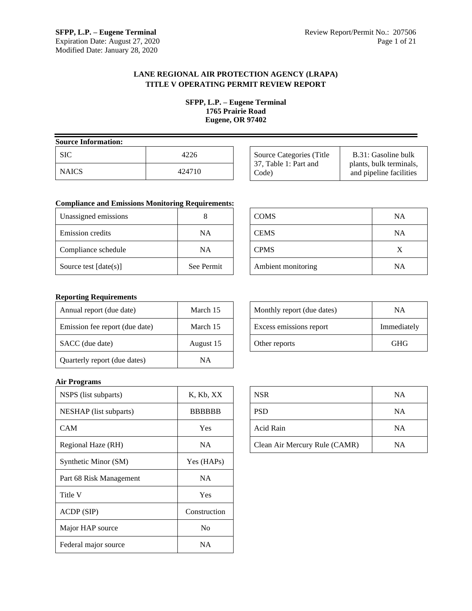## **LANE REGIONAL AIR PROTECTION AGENCY (LRAPA) TITLE V OPERATING PERMIT REVIEW REPORT**

**SFPP, L.P. – Eugene Terminal 1765 Prairie Road Eugene, OR 97402**

| <b>Source Information:</b> |        |
|----------------------------|--------|
| SIC.                       | 4226   |
| <b>NAICS</b>               | 424710 |

| Source Categories (Title) | B.31: Gasoline bulk     |
|---------------------------|-------------------------|
| 37, Table 1: Part and     | plants, bulk terminals, |
| Code)                     | and pipeline facilities |

## **Compliance and Emissions Monitoring Requirements:**

| Unassigned emissions    |            |
|-------------------------|------------|
| <b>Emission</b> credits | NΑ         |
| Compliance schedule     | NΑ         |
| Source test $[date(s)]$ | See Permit |

| <b>COMS</b>        | <b>NA</b> |
|--------------------|-----------|
| <b>CEMS</b>        | <b>NA</b> |
| <b>CPMS</b>        | X         |
| Ambient monitoring | <b>NA</b> |

## **Reporting Requirements**

| Annual report (due date)       | March 15  |
|--------------------------------|-----------|
| Emission fee report (due date) | March 15  |
| SACC (due date)                | August 15 |
| Quarterly report (due dates)   | NΑ        |

# Monthly report (due dates) NA Excess emissions report Immediately Other reports GHG

## **Air Programs**

| NSPS (list subparts)    | K, Kb, XX      |
|-------------------------|----------------|
| NESHAP (list subparts)  | <b>BBBBBB</b>  |
| CAM                     | Yes            |
| Regional Haze (RH)      | NA.            |
| Synthetic Minor (SM)    | Yes (HAPs)     |
| Part 68 Risk Management | <b>NA</b>      |
| Title V                 | Yes            |
| ACDP (SIP)              | Construction   |
| Major HAP source        | N <sub>0</sub> |
| Federal major source    | NΑ             |

| <b>NSR</b>                    | <b>NA</b> |
|-------------------------------|-----------|
| PSD                           | <b>NA</b> |
| Acid Rain                     | NA        |
| Clean Air Mercury Rule (CAMR) | <b>NA</b> |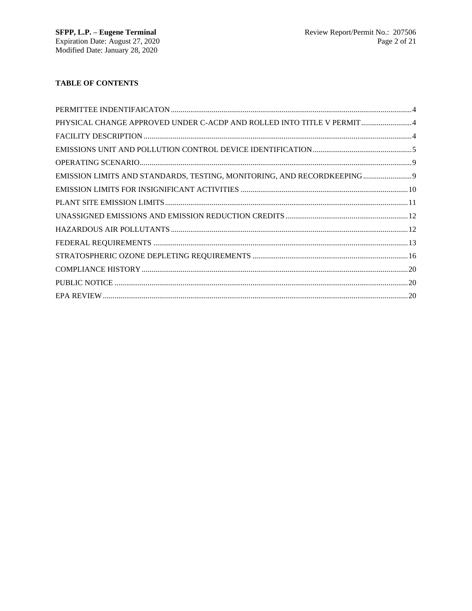# **TABLE OF CONTENTS**

| PHYSICAL CHANGE APPROVED UNDER C-ACDP AND ROLLED INTO TITLE V PERMIT 4 |  |
|------------------------------------------------------------------------|--|
|                                                                        |  |
|                                                                        |  |
|                                                                        |  |
| EMISSION LIMITS AND STANDARDS, TESTING, MONITORING, AND RECORDKEEPING  |  |
|                                                                        |  |
|                                                                        |  |
|                                                                        |  |
|                                                                        |  |
|                                                                        |  |
|                                                                        |  |
|                                                                        |  |
|                                                                        |  |
|                                                                        |  |
|                                                                        |  |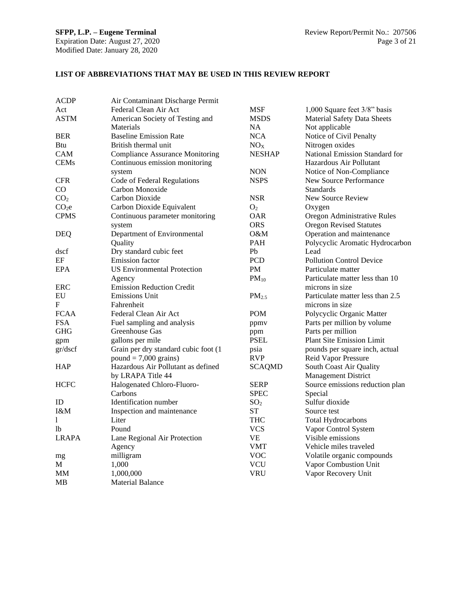## **LIST OF ABBREVIATIONS THAT MAY BE USED IN THIS REVIEW REPORT**

| <b>ACDP</b>       | Air Contaminant Discharge Permit       |                   |                                    |
|-------------------|----------------------------------------|-------------------|------------------------------------|
| Act               | Federal Clean Air Act                  | <b>MSF</b>        | 1,000 Square feet 3/8" basis       |
| ASTM              | American Society of Testing and        | <b>MSDS</b>       | <b>Material Safety Data Sheets</b> |
|                   | Materials                              | NA.               | Not applicable                     |
| <b>BER</b>        | <b>Baseline Emission Rate</b>          | <b>NCA</b>        | Notice of Civil Penalty            |
| Btu               | British thermal unit                   | NO <sub>X</sub>   | Nitrogen oxides                    |
| CAM               | <b>Compliance Assurance Monitoring</b> | <b>NESHAP</b>     | National Emission Standard for     |
| <b>CEMs</b>       | Continuous emission monitoring         |                   | Hazardous Air Pollutant            |
|                   | system                                 | <b>NON</b>        | Notice of Non-Compliance           |
| <b>CFR</b>        | Code of Federal Regulations            | <b>NSPS</b>       | New Source Performance             |
| CO                | Carbon Monoxide                        |                   | <b>Standards</b>                   |
| CO <sub>2</sub>   | Carbon Dioxide                         | <b>NSR</b>        | New Source Review                  |
| CO <sub>2</sub> e | Carbon Dioxide Equivalent              | O <sub>2</sub>    | Oxygen                             |
| <b>CPMS</b>       | Continuous parameter monitoring        | <b>OAR</b>        | Oregon Administrative Rules        |
|                   | system                                 | <b>ORS</b>        | <b>Oregon Revised Statutes</b>     |
| <b>DEQ</b>        | Department of Environmental            | O&M               | Operation and maintenance          |
|                   | Quality                                | <b>PAH</b>        | Polycyclic Aromatic Hydrocarbon    |
| dscf              | Dry standard cubic feet                | Pb                | Lead                               |
| EF                | Emission factor                        | <b>PCD</b>        | <b>Pollution Control Device</b>    |
| <b>EPA</b>        | <b>US Environmental Protection</b>     | <b>PM</b>         | Particulate matter                 |
|                   | Agency                                 | $PM_{10}$         | Particulate matter less than 10    |
| ERC               | <b>Emission Reduction Credit</b>       |                   | microns in size                    |
| EU                | <b>Emissions Unit</b>                  | PM <sub>2.5</sub> | Particulate matter less than 2.5   |
| ${\bf F}$         | Fahrenheit                             |                   | microns in size                    |
| <b>FCAA</b>       | Federal Clean Air Act                  | <b>POM</b>        | Polycyclic Organic Matter          |
| <b>FSA</b>        | Fuel sampling and analysis             | ppmv              | Parts per million by volume        |
| <b>GHG</b>        | Greenhouse Gas                         | ppm               | Parts per million                  |
| gpm               | gallons per mile                       | <b>PSEL</b>       | <b>Plant Site Emission Limit</b>   |
| gr/dscf           | Grain per dry standard cubic foot (1   | psia              | pounds per square inch, actual     |
|                   | $pound = 7,000 \text{ grains}$         | <b>RVP</b>        | Reid Vapor Pressure                |
| HAP               | Hazardous Air Pollutant as defined     | <b>SCAQMD</b>     | South Coast Air Quality            |
|                   | by LRAPA Title 44                      |                   | <b>Management District</b>         |
| <b>HCFC</b>       | Halogenated Chloro-Fluoro-             | <b>SERP</b>       | Source emissions reduction plan    |
|                   | Carbons                                | <b>SPEC</b>       | Special                            |
| ID                | Identification number                  | SO <sub>2</sub>   | Sulfur dioxide                     |
| I&M               | Inspection and maintenance             | <b>ST</b>         | Source test                        |
| 1                 | Liter                                  | THC               | Total Hydrocarbons                 |
| lb                | Pound                                  | <b>VCS</b>        | Vapor Control System               |
| <b>LRAPA</b>      | Lane Regional Air Protection           | VE                | Visible emissions                  |
|                   | Agency                                 | VMT               | Vehicle miles traveled             |
| mg                | milligram                              | <b>VOC</b>        | Volatile organic compounds         |
| М                 | 1,000                                  | <b>VCU</b>        | Vapor Combustion Unit              |
| MМ                | 1,000,000                              | <b>VRU</b>        | Vapor Recovery Unit                |
| MВ                | Material Balance                       |                   |                                    |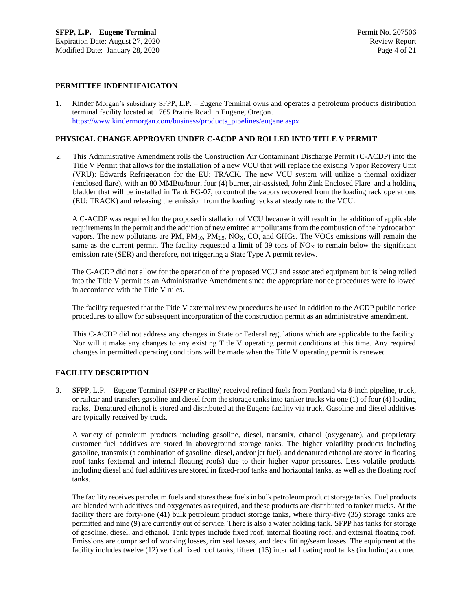## **PERMITTEE INDENTIFAICATON**

1. Kinder Morgan's subsidiary SFPP, L.P. – Eugene Terminal owns and operates a petroleum products distribution terminal facility located at 1765 Prairie Road in Eugene, Oregon. [https://www.kindermorgan.com/business/products\\_pipelines/eugene.aspx](https://www.kindermorgan.com/business/products_pipelines/eugene.aspx)

#### **PHYSICAL CHANGE APPROVED UNDER C-ACDP AND ROLLED INTO TITLE V PERMIT**

2. This Administrative Amendment rolls the Construction Air Contaminant Discharge Permit (C-ACDP) into the Title V Permit that allows for the installation of a new VCU that will replace the existing Vapor Recovery Unit (VRU): Edwards Refrigeration for the EU: TRACK. The new VCU system will utilize a thermal oxidizer (enclosed flare), with an 80 MMBtu/hour, four (4) burner, air-assisted, John Zink Enclosed Flare and a holding bladder that will be installed in Tank EG-07, to control the vapors recovered from the loading rack operations (EU: TRACK) and releasing the emission from the loading racks at steady rate to the VCU.

A C-ACDP was required for the proposed installation of VCU because it will result in the addition of applicable requirements in the permit and the addition of new emitted air pollutants from the combustion of the hydrocarbon vapors. The new pollutants are PM,  $PM_{10}$ ,  $PM_{2.5}$ , NO<sub>X</sub>, CO, and GHGs. The VOCs emissions will remain the same as the current permit. The facility requested a limit of 39 tons of  $NO<sub>X</sub>$  to remain below the significant emission rate (SER) and therefore, not triggering a State Type A permit review.

The C-ACDP did not allow for the operation of the proposed VCU and associated equipment but is being rolled into the Title V permit as an Administrative Amendment since the appropriate notice procedures were followed in accordance with the Title V rules.

The facility requested that the Title V external review procedures be used in addition to the ACDP public notice procedures to allow for subsequent incorporation of the construction permit as an administrative amendment.

This C-ACDP did not address any changes in State or Federal regulations which are applicable to the facility. Nor will it make any changes to any existing Title V operating permit conditions at this time. Any required changes in permitted operating conditions will be made when the Title V operating permit is renewed.

#### **FACILITY DESCRIPTION**

3. SFPP, L.P. – Eugene Terminal (SFPP or Facility) received refined fuels from Portland via 8-inch pipeline, truck, or railcar and transfers gasoline and diesel from the storage tanks into tanker trucks via one (1) of four (4) loading racks. Denatured ethanol is stored and distributed at the Eugene facility via truck. Gasoline and diesel additives are typically received by truck.

A variety of petroleum products including gasoline, diesel, transmix, ethanol (oxygenate), and proprietary customer fuel additives are stored in aboveground storage tanks. The higher volatility products including gasoline, transmix (a combination of gasoline, diesel, and/or jet fuel), and denatured ethanol are stored in floating roof tanks (external and internal floating roofs) due to their higher vapor pressures. Less volatile products including diesel and fuel additives are stored in fixed-roof tanks and horizontal tanks, as well as the floating roof tanks.

The facility receives petroleum fuels and stores these fuels in bulk petroleum product storage tanks. Fuel products are blended with additives and oxygenates as required, and these products are distributed to tanker trucks. At the facility there are forty-one (41) bulk petroleum product storage tanks, where thirty-five (35) storage tanks are permitted and nine (9) are currently out of service. There is also a water holding tank. SFPP has tanks for storage of gasoline, diesel, and ethanol. Tank types include fixed roof, internal floating roof, and external floating roof. Emissions are comprised of working losses, rim seal losses, and deck fitting/seam losses. The equipment at the facility includes twelve (12) vertical fixed roof tanks, fifteen (15) internal floating roof tanks (including a domed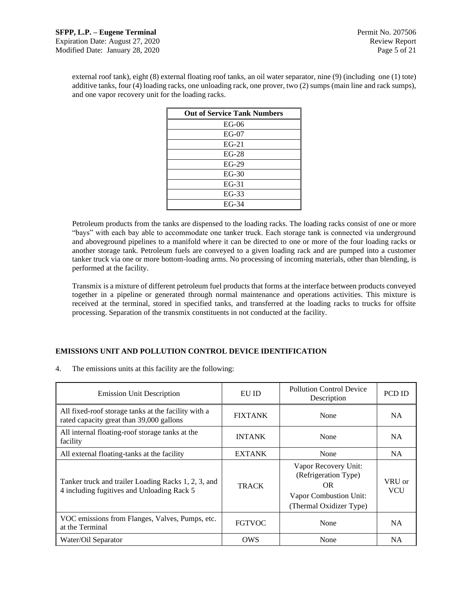external roof tank), eight (8) external floating roof tanks, an oil water separator, nine (9) (including one (1) tote) additive tanks, four (4) loading racks, one unloading rack, one prover, two (2) sumps (main line and rack sumps), and one vapor recovery unit for the loading racks.

| <b>Out of Service Tank Numbers</b> |
|------------------------------------|
| $EG-06$                            |
| $EG-07$                            |
| $EG-21$                            |
| $EG-28$                            |
| $EG-29$                            |
| $EG-30$                            |
| $EG-31$                            |
| $EG-33$                            |
| EG-34                              |

Petroleum products from the tanks are dispensed to the loading racks. The loading racks consist of one or more "bays" with each bay able to accommodate one tanker truck. Each storage tank is connected via underground and aboveground pipelines to a manifold where it can be directed to one or more of the four loading racks or another storage tank. Petroleum fuels are conveyed to a given loading rack and are pumped into a customer tanker truck via one or more bottom-loading arms. No processing of incoming materials, other than blending, is performed at the facility.

Transmix is a mixture of different petroleum fuel products that forms at the interface between products conveyed together in a pipeline or generated through normal maintenance and operations activities. This mixture is received at the terminal, stored in specified tanks, and transferred at the loading racks to trucks for offsite processing. Separation of the transmix constituents in not conducted at the facility.

## **EMISSIONS UNIT AND POLLUTION CONTROL DEVICE IDENTIFICATION**

4. The emissions units at this facility are the following:

| <b>Emission Unit Description</b>                                                                  | EU ID          | <b>Pollution Control Device</b><br>Description                                                           | PCD ID               |
|---------------------------------------------------------------------------------------------------|----------------|----------------------------------------------------------------------------------------------------------|----------------------|
| All fixed-roof storage tanks at the facility with a<br>rated capacity great than 39,000 gallons   | <b>FIXTANK</b> | None                                                                                                     | <b>NA</b>            |
| All internal floating-roof storage tanks at the<br>facility                                       | <b>INTANK</b>  | None                                                                                                     | <b>NA</b>            |
| All external floating-tanks at the facility                                                       | <b>EXTANK</b>  | None                                                                                                     | NA.                  |
| Tanker truck and trailer Loading Racks 1, 2, 3, and<br>4 including fugitives and Unloading Rack 5 | <b>TRACK</b>   | Vapor Recovery Unit:<br>(Refrigeration Type)<br>OR.<br>Vapor Combustion Unit:<br>(Thermal Oxidizer Type) | VRU or<br><b>VCU</b> |
| VOC emissions from Flanges, Valves, Pumps, etc.<br>at the Terminal                                | <b>FGTVOC</b>  | None                                                                                                     | <b>NA</b>            |
| Water/Oil Separator                                                                               | OWS            | None                                                                                                     | NA                   |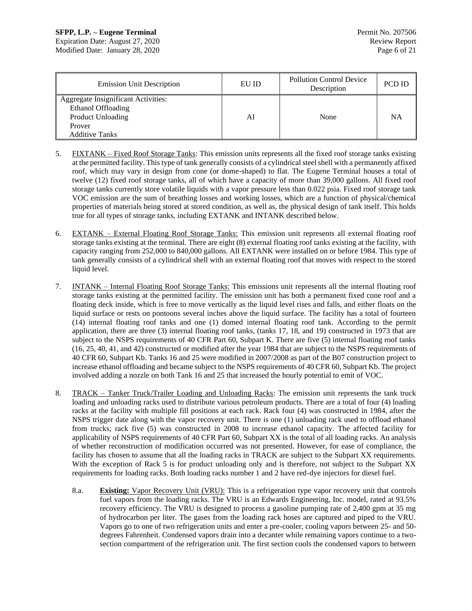## **SFPP, L.P. – Eugene Terminal Permit No. 207506**

Expiration Date: August 27, 2020 Review Report Modified Date: January 28, 2020 Page 6 of 21

| <b>Emission Unit Description</b>                                                                                  | EU ID | <b>Pollution Control Device</b><br>Description | <b>PCD ID</b> |
|-------------------------------------------------------------------------------------------------------------------|-------|------------------------------------------------|---------------|
| Aggregate Insignificant Activities:<br>Ethanol Offloading<br>Product Unloading<br>Prover<br><b>Additive Tanks</b> | Al    | None                                           | NΑ            |

- 5. FIXTANK Fixed Roof Storage Tanks: This emission units represents all the fixed roof storage tanks existing at the permitted facility. This type of tank generally consists of a cylindrical steel shell with a permanently affixed roof, which may vary in design from cone (or dome-shaped) to flat. The Eugene Terminal houses a total of twelve (12) fixed roof storage tanks, all of which have a capacity of more than 39,000 gallons. All fixed roof storage tanks currently store volatile liquids with a vapor pressure less than 0.022 psia. Fixed roof storage tank VOC emission are the sum of breathing losses and working losses, which are a function of physical/chemical properties of materials being stored at stored condition, as well as, the physical design of tank itself. This holds true for all types of storage tanks, including EXTANK and INTANK described below.
- 6. EXTANK External Floating Roof Storage Tanks: This emission unit represents all external floating roof storage tanks existing at the terminal. There are eight (8) external floating roof tanks existing at the facility, with capacity ranging from 252,000 to 840,000 gallons. All EXTANK were installed on or before 1984. This type of tank generally consists of a cylindrical shell with an external floating roof that moves with respect to the stored liquid level.
- 7. INTANK Internal Floating Roof Storage Tanks: This emissions unit represents all the internal floating roof storage tanks existing at the permitted facility. The emission unit has both a permanent fixed cone roof and a floating deck inside, which is free to move vertically as the liquid level rises and falls, and either floats on the liquid surface or rests on pontoons several inches above the liquid surface. The facility has a total of fourteen (14) internal floating roof tanks and one (1) domed internal floating roof tank. According to the permit application, there are three (3) internal floating roof tanks, (tanks 17, 18, and 19) constructed in 1973 that are subject to the NSPS requirements of 40 CFR Part 60, Subpart K. There are five (5) internal floating roof tanks (16, 25, 40, 41, and 42) constructed or modified after the year 1984 that are subject to the NSPS requirements of 40 CFR 60, Subpart Kb. Tanks 16 and 25 were modified in 2007/2008 as part of the B07 construction project to increase ethanol offloading and became subject to the NSPS requirements of 40 CFR 60, Subpart Kb. The project involved adding a nozzle on both Tank 16 and 25 that increased the hourly potential to emit of VOC.
- 8. TRACK Tanker Truck/Trailer Loading and Unloading Racks: The emission unit represents the tank truck loading and unloading racks used to distribute various petroleum products. There are a total of four (4) loading racks at the facility with multiple fill positions at each rack. Rack four (4) was constructed in 1984, after the NSPS trigger date along with the vapor recovery unit. There is one (1) unloading rack used to offload ethanol from trucks; rack five (5) was constructed in 2008 to increase ethanol capacity. The affected facility for applicability of NSPS requirements of 40 CFR Part 60, Subpart XX is the total of all loading racks. An analysis of whether reconstruction of modification occurred was not presented. However, for ease of compliance, the facility has chosen to assume that all the loading racks in TRACK are subject to the Subpart XX requirements. With the exception of Rack 5 is for product unloading only and is therefore, not subject to the Subpart XX requirements for loading racks. Both loading racks number 1 and 2 have red-dye injectors for diesel fuel.
	- 8.a. **Existing:** Vapor Recovery Unit (VRU): This is a refrigeration type vapor recovery unit that controls fuel vapors from the loading racks. The VRU is an Edwards Engineering, Inc. model, rated at 93.5% recovery efficiency. The VRU is designed to process a gasoline pumping rate of 2,400 gpm at 35 mg of hydrocarbon per liter. The gases from the loading rack hoses are captured and piped to the VRU. Vapors go to one of two refrigeration units and enter a pre-cooler, cooling vapors between 25- and 50 degrees Fahrenheit. Condensed vapors drain into a decanter while remaining vapors continue to a twosection compartment of the refrigeration unit. The first section cools the condensed vapors to between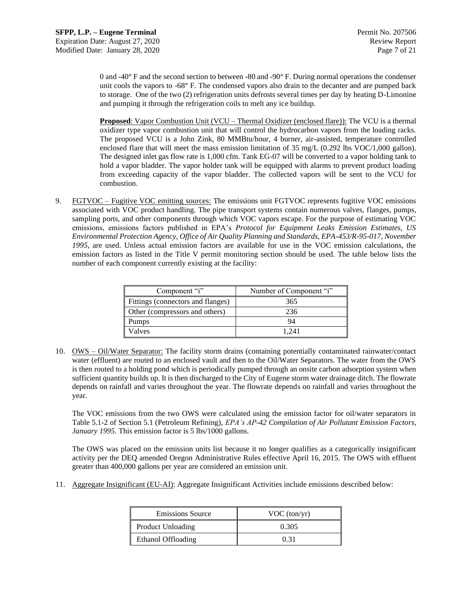0 and -40° F and the second section to between -80 and -90° F. During normal operations the condenser unit cools the vapors to -68° F. The condensed vapors also drain to the decanter and are pumped back to storage. One of the two (2) refrigeration units defrosts several times per day by heating D-Limonine and pumping it through the refrigeration coils to melt any ice buildup.

**Proposed**: Vapor Combustion Unit (VCU – Thermal Oxidizer (enclosed flare)): The VCU is a thermal oxidizer type vapor combustion unit that will control the hydrocarbon vapors from the loading racks. The proposed VCU is a John Zink, 80 MMBtu/hour, 4 burner, air-assisted, temperature controlled enclosed flare that will meet the mass emission limitation of 35 mg/L (0.292 lbs VOC/1,000 gallon). The designed inlet gas flow rate is 1,000 cfm. Tank EG-07 will be converted to a vapor holding tank to hold a vapor bladder. The vapor holder tank will be equipped with alarms to prevent product loading from exceeding capacity of the vapor bladder. The collected vapors will be sent to the VCU for combustion.

9. FGTVOC – Fugitive VOC emitting sources: The emissions unit FGTVOC represents fugitive VOC emissions associated with VOC product handling. The pipe transport systems contain numerous valves, flanges, pumps, sampling ports, and other components through which VOC vapors escape. For the purpose of estimating VOC emissions, emissions factors published in EPA's *Protocol for Equipment Leaks Emission Estimates, US Environmental Protection Agency, Office of Air Quality Planning and Standards, EPA-453/R-95-017, November 1995*, are used. Unless actual emission factors are available for use in the VOC emission calculations, the emission factors as listed in the Title V permit monitoring section should be used. The table below lists the number of each component currently existing at the facility:

| Component "i"                     | Number of Component "i" |
|-----------------------------------|-------------------------|
| Fittings (connectors and flanges) | 365                     |
| Other (compressors and others)    | 236                     |
| <b>Pumps</b>                      | 94                      |
| Valves                            | 1.241                   |

10. OWS – Oil/Water Separator: The facility storm drains (containing potentially contaminated rainwater/contact water (effluent) are routed to an enclosed vault and then to the Oil/Water Separators. The water from the OWS is then routed to a holding pond which is periodically pumped through an onsite carbon adsorption system when sufficient quantity builds up. It is then discharged to the City of Eugene storm water drainage ditch. The flowrate depends on rainfall and varies throughout the year. The flowrate depends on rainfall and varies throughout the year.

The VOC emissions from the two OWS were calculated using the emission factor for oil/water separators in Table 5.1-2 of Section 5.1 (Petroleum Refining), *EPA's AP-42 Compilation of Air Pollutant Emission Factors, January 1995*. This emission factor is 5 lbs/1000 gallons.

The OWS was placed on the emission units list because it no longer qualifies as a categorically insignificant activity per the DEQ amended Oregon Administrative Rules effective April 16, 2015. The OWS with effluent greater than 400,000 gallons per year are considered an emission unit.

11. Aggregate Insignificant (EU-AI): Aggregate Insignificant Activities include emissions described below:

| <b>Emissions Source</b> | VOC (ton/yr) |
|-------------------------|--------------|
| Product Unloading       | 0.305        |
| Ethanol Offloading      | በ 31         |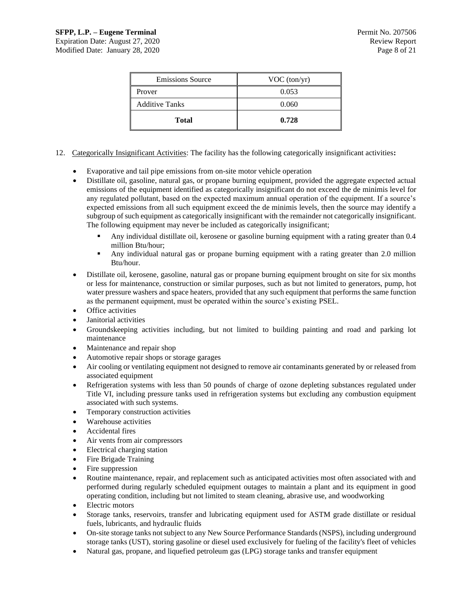| <b>Emissions Source</b> | VOC (ton/yr) |
|-------------------------|--------------|
| Prover                  | 0.053        |
| <b>Additive Tanks</b>   | 0.060        |
| <b>Total</b>            | 0.728        |

- 12. Categorically Insignificant Activities: The facility has the following categorically insignificant activities**:**
	- Evaporative and tail pipe emissions from on-site motor vehicle operation
	- Distillate oil, gasoline, natural gas, or propane burning equipment, provided the aggregate expected actual emissions of the equipment identified as categorically insignificant do not exceed the de minimis level for any regulated pollutant, based on the expected maximum annual operation of the equipment. If a source's expected emissions from all such equipment exceed the de minimis levels, then the source may identify a subgroup of such equipment as categorically insignificant with the remainder not categorically insignificant. The following equipment may never be included as categorically insignificant;
		- Any individual distillate oil, kerosene or gasoline burning equipment with a rating greater than 0.4 million Btu/hour;
		- Any individual natural gas or propane burning equipment with a rating greater than 2.0 million Btu/hour.
	- Distillate oil, kerosene, gasoline, natural gas or propane burning equipment brought on site for six months or less for maintenance, construction or similar purposes, such as but not limited to generators, pump, hot water pressure washers and space heaters, provided that any such equipment that performs the same function as the permanent equipment, must be operated within the source's existing PSEL.
	- Office activities
	- Janitorial activities
	- Groundskeeping activities including, but not limited to building painting and road and parking lot maintenance
	- Maintenance and repair shop
	- Automotive repair shops or storage garages
	- Air cooling or ventilating equipment not designed to remove air contaminants generated by or released from associated equipment
	- Refrigeration systems with less than 50 pounds of charge of ozone depleting substances regulated under Title VI, including pressure tanks used in refrigeration systems but excluding any combustion equipment associated with such systems.
	- Temporary construction activities
	- Warehouse activities
	- Accidental fires
	- Air vents from air compressors
	- Electrical charging station
	- Fire Brigade Training
	- Fire suppression
	- Routine maintenance, repair, and replacement such as anticipated activities most often associated with and performed during regularly scheduled equipment outages to maintain a plant and its equipment in good operating condition, including but not limited to steam cleaning, abrasive use, and woodworking
	- Electric motors
	- Storage tanks, reservoirs, transfer and lubricating equipment used for ASTM grade distillate or residual fuels, lubricants, and hydraulic fluids
	- On-site storage tanks not subject to any New Source Performance Standards (NSPS), including underground storage tanks (UST), storing gasoline or diesel used exclusively for fueling of the facility's fleet of vehicles
	- Natural gas, propane, and liquefied petroleum gas (LPG) storage tanks and transfer equipment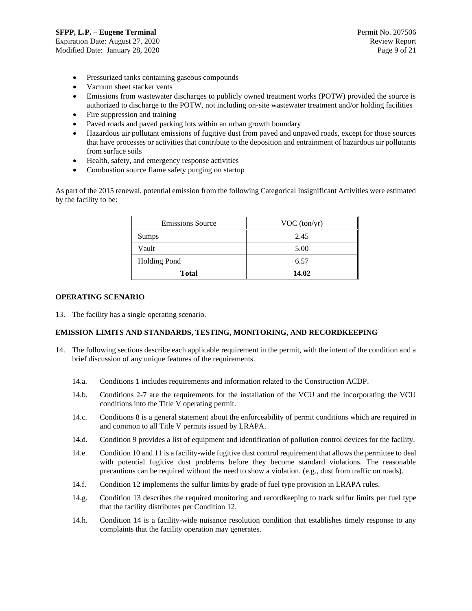Expiration Date: August 27, 2020 Review Report Modified Date: January 28, 2020 Page 9 of 21

- Pressurized tanks containing gaseous compounds
- Vacuum sheet stacker vents
- Emissions from wastewater discharges to publicly owned treatment works (POTW) provided the source is authorized to discharge to the POTW, not including on-site wastewater treatment and/or holding facilities
- Fire suppression and training
- Paved roads and paved parking lots within an urban growth boundary
- Hazardous air pollutant emissions of fugitive dust from paved and unpaved roads, except for those sources that have processes or activities that contribute to the deposition and entrainment of hazardous air pollutants from surface soils
- Health, safety, and emergency response activities
- Combustion source flame safety purging on startup

As part of the 2015 renewal, potential emission from the following Categorical Insignificant Activities were estimated by the facility to be:

| <b>Emissions Source</b> | VOC (ton/yr) |
|-------------------------|--------------|
| Sumps                   | 2.45         |
| Vault                   | 5.00         |
| <b>Holding Pond</b>     | 6.57         |
| <b>Total</b>            | 14.02        |

## **OPERATING SCENARIO**

13. The facility has a single operating scenario.

## **EMISSION LIMITS AND STANDARDS, TESTING, MONITORING, AND RECORDKEEPING**

- 14. The following sections describe each applicable requirement in the permit, with the intent of the condition and a brief discussion of any unique features of the requirements.
	- 14.a. Conditions 1 includes requirements and information related to the Construction ACDP.
	- 14.b. Conditions 2-7 are the requirements for the installation of the VCU and the incorporating the VCU conditions into the Title V operating permit.
	- 14.c. Conditions 8 is a general statement about the enforceability of permit conditions which are required in and common to all Title V permits issued by LRAPA.
	- 14.d. Condition 9 provides a list of equipment and identification of pollution control devices for the facility.
	- 14.e. Condition 10 and 11 is a facility-wide fugitive dust control requirement that allows the permittee to deal with potential fugitive dust problems before they become standard violations. The reasonable precautions can be required without the need to show a violation. (e.g., dust from traffic on roads).
	- 14.f. Condition 12 implements the sulfur limits by grade of fuel type provision in LRAPA rules.
	- 14.g. Condition 13 describes the required monitoring and recordkeeping to track sulfur limits per fuel type that the facility distributes per Condition 12.
	- 14.h. Condition 14 is a facility-wide nuisance resolution condition that establishes timely response to any complaints that the facility operation may generates.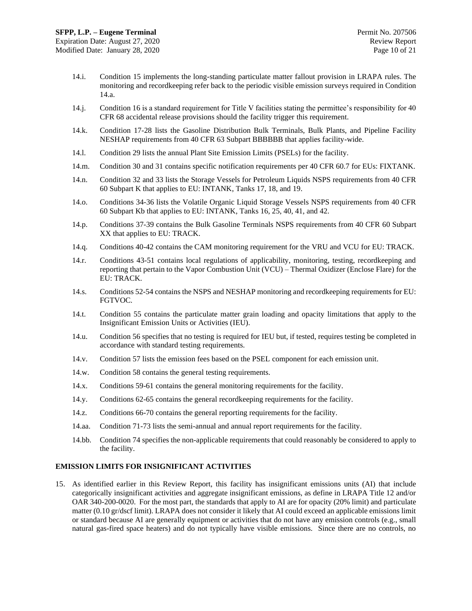- 14.i. Condition 15 implements the long-standing particulate matter fallout provision in LRAPA rules. The monitoring and recordkeeping refer back to the periodic visible emission surveys required in Condition 14.a.
- 14.j. Condition 16 is a standard requirement for Title V facilities stating the permittee's responsibility for 40 CFR 68 accidental release provisions should the facility trigger this requirement.
- 14.k. Condition 17-28 lists the Gasoline Distribution Bulk Terminals, Bulk Plants, and Pipeline Facility NESHAP requirements from 40 CFR 63 Subpart BBBBBB that applies facility-wide.
- 14.l. Condition 29 lists the annual Plant Site Emission Limits (PSELs) for the facility.
- 14.m. Condition 30 and 31 contains specific notification requirements per 40 CFR 60.7 for EUs: FIXTANK.
- 14.n. Condition 32 and 33 lists the Storage Vessels for Petroleum Liquids NSPS requirements from 40 CFR 60 Subpart K that applies to EU: INTANK, Tanks 17, 18, and 19.
- 14.o. Conditions 34-36 lists the Volatile Organic Liquid Storage Vessels NSPS requirements from 40 CFR 60 Subpart Kb that applies to EU: INTANK, Tanks 16, 25, 40, 41, and 42.
- 14.p. Conditions 37-39 contains the Bulk Gasoline Terminals NSPS requirements from 40 CFR 60 Subpart XX that applies to EU: TRACK.
- 14.q. Conditions 40-42 contains the CAM monitoring requirement for the VRU and VCU for EU: TRACK.
- 14.r. Conditions 43-51 contains local regulations of applicability, monitoring, testing, recordkeeping and reporting that pertain to the Vapor Combustion Unit (VCU) – Thermal Oxidizer (Enclose Flare) for the EU: TRACK.
- 14.s. Conditions 52-54 contains the NSPS and NESHAP monitoring and recordkeeping requirements for EU: FGTVOC.
- 14.t. Condition 55 contains the particulate matter grain loading and opacity limitations that apply to the Insignificant Emission Units or Activities (IEU).
- 14.u. Condition 56 specifies that no testing is required for IEU but, if tested, requires testing be completed in accordance with standard testing requirements.
- 14.v. Condition 57 lists the emission fees based on the PSEL component for each emission unit.
- 14.w. Condition 58 contains the general testing requirements.
- 14.x. Conditions 59-61 contains the general monitoring requirements for the facility.
- 14.y. Conditions 62-65 contains the general recordkeeping requirements for the facility.
- 14.z. Conditions 66-70 contains the general reporting requirements for the facility.
- 14.aa. Condition 71-73 lists the semi-annual and annual report requirements for the facility.
- 14.bb. Condition 74 specifies the non-applicable requirements that could reasonably be considered to apply to the facility.

#### **EMISSION LIMITS FOR INSIGNIFICANT ACTIVITIES**

15. As identified earlier in this Review Report, this facility has insignificant emissions units (AI) that include categorically insignificant activities and aggregate insignificant emissions, as define in LRAPA Title 12 and/or OAR 340-200-0020. For the most part, the standards that apply to AI are for opacity (20% limit) and particulate matter (0.10 gr/dscf limit). LRAPA does not consider it likely that AI could exceed an applicable emissions limit or standard because AI are generally equipment or activities that do not have any emission controls (e.g., small natural gas-fired space heaters) and do not typically have visible emissions. Since there are no controls, no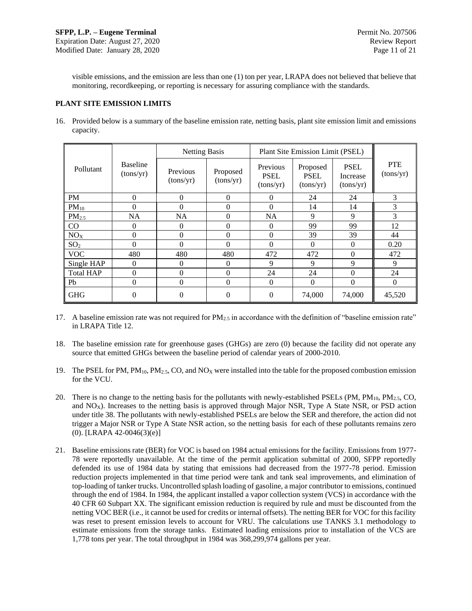visible emissions, and the emission are less than one (1) ton per year, LRAPA does not believed that believe that monitoring, recordkeeping, or reporting is necessary for assuring compliance with the standards.

## **PLANT SITE EMISSION LIMITS**

16. Provided below is a summary of the baseline emission rate, netting basis, plant site emission limit and emissions capacity.

|                  |                              | <b>Netting Basis</b>  |                       | Plant Site Emission Limit (PSEL)     |                                      |                                      |                         |
|------------------|------------------------------|-----------------------|-----------------------|--------------------------------------|--------------------------------------|--------------------------------------|-------------------------|
| Pollutant        | <b>Baseline</b><br>(tons/yr) | Previous<br>(tons/yr) | Proposed<br>(tons/yr) | Previous<br><b>PSEL</b><br>(tons/yr) | Proposed<br><b>PSEL</b><br>(tons/yr) | <b>PSEL</b><br>Increase<br>(tons/yr) | <b>PTE</b><br>(tons/yr) |
| <b>PM</b>        | $\theta$                     | $\theta$              | $\Omega$              | 0                                    | 24                                   | 24                                   | 3                       |
| $PM_{10}$        | $\Omega$                     | $\Omega$              | $\Omega$              | $\Omega$                             | 14                                   | 14                                   | 3                       |
| $PM_{2.5}$       | <b>NA</b>                    | <b>NA</b>             | $\Omega$              | <b>NA</b>                            | 9                                    | 9                                    | 3                       |
| CO               | $\Omega$                     | $\theta$              | $\Omega$              | 0                                    | 99                                   | 99                                   | 12                      |
| NO <sub>X</sub>  | $\Omega$                     | $\theta$              | $\Omega$              | 0                                    | 39                                   | 39                                   | 44                      |
| SO <sub>2</sub>  | $\Omega$                     | $\Omega$              | $\Omega$              | 0                                    | $\Omega$                             | $\Omega$                             | 0.20                    |
| <b>VOC</b>       | 480                          | 480                   | 480                   | 472                                  | 472                                  | $\theta$                             | 472                     |
| Single HAP       | $\Omega$                     | $\Omega$              | $\Omega$              | 9                                    | 9                                    | $\mathbf Q$                          | 9                       |
| <b>Total HAP</b> | $\theta$                     | $\theta$              | $\Omega$              | 24                                   | 24                                   | $\Omega$                             | 24                      |
| Pb               | $\theta$                     | $\theta$              | $\Omega$              | $\Omega$                             | $\Omega$                             | $\theta$                             | $\theta$                |
| <b>GHG</b>       | $\overline{0}$               | $\theta$              | $\Omega$              | 0                                    | 74,000                               | 74,000                               | 45,520                  |

17. A baseline emission rate was not required for  $PM_{2.5}$  in accordance with the definition of "baseline emission rate" in LRAPA Title 12.

- 18. The baseline emission rate for greenhouse gases (GHGs) are zero (0) because the facility did not operate any source that emitted GHGs between the baseline period of calendar years of 2000-2010.
- 19. The PSEL for PM,  $PM_{10}$ ,  $PM_{2.5}$ , CO, and NO<sub>X</sub> were installed into the table for the proposed combustion emission for the VCU.
- 20. There is no change to the netting basis for the pollutants with newly-established PSELs (PM,  $PM_{10}$ ,  $PM_{2.5}$ , CO, and  $NO<sub>X</sub>$ ). Increases to the netting basis is approved through Major NSR, Type A State NSR, or PSD action under title 38. The pollutants with newly-established PSELs are below the SER and therefore, the action did not trigger a Major NSR or Type A State NSR action, so the netting basis for each of these pollutants remains zero (0). [LRAPA 42-0046(3)(e)]
- 21. Baseline emissions rate (BER) for VOC is based on 1984 actual emissions for the facility. Emissions from 1977- 78 were reportedly unavailable. At the time of the permit application submittal of 2000, SFPP reportedly defended its use of 1984 data by stating that emissions had decreased from the 1977-78 period. Emission reduction projects implemented in that time period were tank and tank seal improvements, and elimination of top-loading of tanker trucks. Uncontrolled splash loading of gasoline, a major contributor to emissions, continued through the end of 1984. In 1984, the applicant installed a vapor collection system (VCS) in accordance with the 40 CFR 60 Subpart XX. The significant emission reduction is required by rule and must be discounted from the netting VOC BER (i.e., it cannot be used for credits or internal offsets). The netting BER for VOC for this facility was reset to present emission levels to account for VRU. The calculations use TANKS 3.1 methodology to estimate emissions from the storage tanks. Estimated loading emissions prior to installation of the VCS are 1,778 tons per year. The total throughput in 1984 was 368,299,974 gallons per year.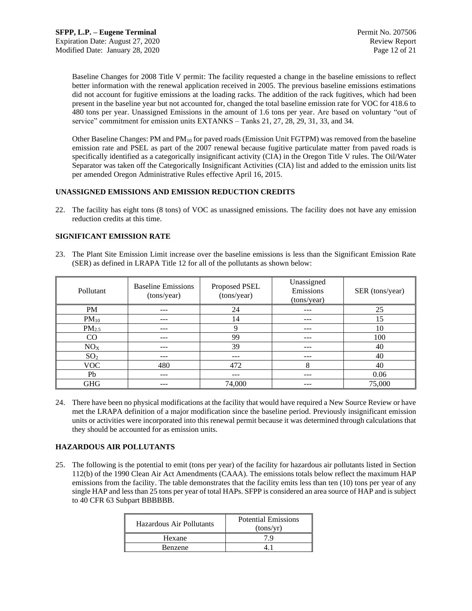Baseline Changes for 2008 Title V permit: The facility requested a change in the baseline emissions to reflect better information with the renewal application received in 2005. The previous baseline emissions estimations did not account for fugitive emissions at the loading racks. The addition of the rack fugitives, which had been present in the baseline year but not accounted for, changed the total baseline emission rate for VOC for 418.6 to 480 tons per year. Unassigned Emissions in the amount of 1.6 tons per year. Are based on voluntary "out of service" commitment for emission units EXTANKS – Tanks 21, 27, 28, 29, 31, 33, and 34.

Other Baseline Changes: PM and PM<sub>10</sub> for paved roads (Emission Unit FGTPM) was removed from the baseline emission rate and PSEL as part of the 2007 renewal because fugitive particulate matter from paved roads is specifically identified as a categorically insignificant activity (CIA) in the Oregon Title V rules. The Oil/Water Separator was taken off the Categorically Insignificant Activities (CIA) list and added to the emission units list per amended Oregon Administrative Rules effective April 16, 2015.

## **UNASSIGNED EMISSIONS AND EMISSION REDUCTION CREDITS**

22. The facility has eight tons (8 tons) of VOC as unassigned emissions. The facility does not have any emission reduction credits at this time.

## **SIGNIFICANT EMISSION RATE**

23. The Plant Site Emission Limit increase over the baseline emissions is less than the Significant Emission Rate (SER) as defined in LRAPA Title 12 for all of the pollutants as shown below:

| Pollutant       | <b>Baseline Emissions</b><br>(tons/year) | Proposed PSEL<br>(tons/year) | Unassigned<br>Emissions<br>(tons/year) | SER (tons/year) |
|-----------------|------------------------------------------|------------------------------|----------------------------------------|-----------------|
| PM              | ---                                      | 24                           | ---                                    | 25              |
| $PM_{10}$       | ---                                      | 14                           | ---                                    | 15              |
| $PM_{2.5}$      |                                          | Q                            | ---                                    | 10              |
| CO              | ---                                      | 99                           | ---                                    | 100             |
| NO <sub>X</sub> | ---                                      | 39                           | $- - -$                                | 40              |
| SO <sub>2</sub> | ---                                      | ---                          | ---                                    | 40              |
| VOC.            | 480                                      | 472                          | 8                                      | 40              |
| Pb              | ---                                      | ---                          | ---                                    | 0.06            |
| <b>GHG</b>      | ---                                      | 74,000                       | ---                                    | 75,000          |

24. There have been no physical modifications at the facility that would have required a New Source Review or have met the LRAPA definition of a major modification since the baseline period. Previously insignificant emission units or activities were incorporated into this renewal permit because it was determined through calculations that they should be accounted for as emission units.

## **HAZARDOUS AIR POLLUTANTS**

25. The following is the potential to emit (tons per year) of the facility for hazardous air pollutants listed in Section 112(b) of the 1990 Clean Air Act Amendments (CAAA). The emissions totals below reflect the maximum HAP emissions from the facility. The table demonstrates that the facility emits less than ten (10) tons per year of any single HAP and less than 25 tons per year of total HAPs. SFPP is considered an area source of HAP and is subject to 40 CFR 63 Subpart BBBBBB.

| Hazardous Air Pollutants | <b>Potential Emissions</b><br>(tons/yr) |  |
|--------------------------|-----------------------------------------|--|
| Hexane                   |                                         |  |
| <b>Benzene</b>           |                                         |  |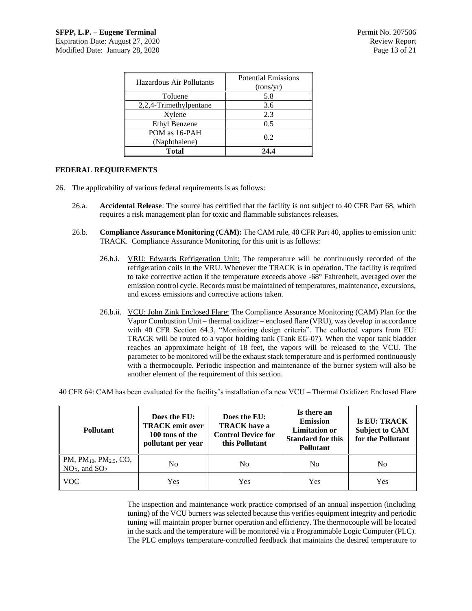| Hazardous Air Pollutants | <b>Potential Emissions</b><br>(tons/yr) |  |
|--------------------------|-----------------------------------------|--|
| Toluene                  | 5.8                                     |  |
| 2,2,4-Trimethylpentane   | 3.6                                     |  |
| Xylene                   | 2.3                                     |  |
| <b>Ethyl Benzene</b>     | 0.5                                     |  |
| POM as 16-PAH            |                                         |  |
| (Naphthalene)            | 0.2                                     |  |
| <b>Total</b>             | 24.4                                    |  |

## **FEDERAL REQUIREMENTS**

- 26. The applicability of various federal requirements is as follows:
	- 26.a. **Accidental Release**: The source has certified that the facility is not subject to 40 CFR Part 68, which requires a risk management plan for toxic and flammable substances releases.
	- 26.b. **Compliance Assurance Monitoring (CAM):** The CAM rule, 40 CFR Part 40, applies to emission unit: TRACK. Compliance Assurance Monitoring for this unit is as follows:
		- 26.b.i. VRU: Edwards Refrigeration Unit: The temperature will be continuously recorded of the refrigeration coils in the VRU. Whenever the TRACK is in operation. The facility is required to take corrective action if the temperature exceeds above -68° Fahrenheit, averaged over the emission control cycle. Records must be maintained of temperatures, maintenance, excursions, and excess emissions and corrective actions taken.
		- 26.b.ii. VCU: John Zink Enclosed Flare: The Compliance Assurance Monitoring (CAM) Plan for the Vapor Combustion Unit – thermal oxidizer – enclosed flare (VRU), was develop in accordance with 40 CFR Section 64.3, "Monitoring design criteria". The collected vapors from EU: TRACK will be routed to a vapor holding tank (Tank EG-07). When the vapor tank bladder reaches an approximate height of 18 feet, the vapors will be released to the VCU. The parameter to be monitored will be the exhaust stack temperature and is performed continuously with a thermocouple. Periodic inspection and maintenance of the burner system will also be another element of the requirement of this section.

40 CFR 64: CAM has been evaluated for the facility's installation of a new VCU – Thermal Oxidizer: Enclosed Flare

| <b>Pollutant</b>                                                                | Does the EU:<br><b>TRACK</b> emit over<br>100 tons of the<br>pollutant per year | Does the EU:<br><b>TRACK</b> have a<br><b>Control Device for</b><br>this Pollutant | Is there an<br><b>Emission</b><br><b>Limitation or</b><br><b>Standard for this</b><br><b>Pollutant</b> | <b>Is EU: TRACK</b><br><b>Subject to CAM</b><br>for the Pollutant |
|---------------------------------------------------------------------------------|---------------------------------------------------------------------------------|------------------------------------------------------------------------------------|--------------------------------------------------------------------------------------------------------|-------------------------------------------------------------------|
| $\mathbb{P}M$ , PM <sub>10</sub> , PM <sub>2.5</sub> , CO,<br>$NOX$ , and $SO2$ | No                                                                              | N <sub>0</sub>                                                                     | No                                                                                                     | No                                                                |
| <b>VOC</b>                                                                      | Yes                                                                             | Yes                                                                                | Yes                                                                                                    | Yes                                                               |

The inspection and maintenance work practice comprised of an annual inspection (including tuning) of the VCU burners was selected because this verifies equipment integrity and periodic tuning will maintain proper burner operation and efficiency. The thermocouple will be located in the stack and the temperature will be monitored via a Programmable Logic Computer (PLC). The PLC employs temperature-controlled feedback that maintains the desired temperature to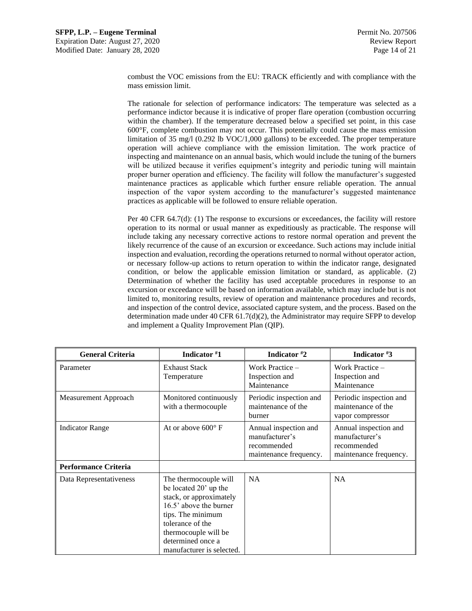combust the VOC emissions from the EU: TRACK efficiently and with compliance with the mass emission limit.

The rationale for selection of performance indicators: The temperature was selected as a performance indictor because it is indicative of proper flare operation (combustion occurring within the chamber). If the temperature decreased below a specified set point, in this case 600°F, complete combustion may not occur. This potentially could cause the mass emission limitation of 35 mg/l (0.292 lb VOC/1,000 gallons) to be exceeded. The proper temperature operation will achieve compliance with the emission limitation. The work practice of inspecting and maintenance on an annual basis, which would include the tuning of the burners will be utilized because it verifies equipment's integrity and periodic tuning will maintain proper burner operation and efficiency. The facility will follow the manufacturer's suggested maintenance practices as applicable which further ensure reliable operation. The annual inspection of the vapor system according to the manufacturer's suggested maintenance practices as applicable will be followed to ensure reliable operation.

Per 40 CFR 64.7(d): (1) The response to excursions or exceedances, the facility will restore operation to its normal or usual manner as expeditiously as practicable. The response will include taking any necessary corrective actions to restore normal operation and prevent the likely recurrence of the cause of an excursion or exceedance. Such actions may include initial inspection and evaluation, recording the operations returned to normal without operator action, or necessary follow-up actions to return operation to within the indicator range, designated condition, or below the applicable emission limitation or standard, as applicable. (2) Determination of whether the facility has used acceptable procedures in response to an excursion or exceedance will be based on information available, which may include but is not limited to, monitoring results, review of operation and maintenance procedures and records, and inspection of the control device, associated capture system, and the process. Based on the determination made under 40 CFR  $61.7(d)(2)$ , the Administrator may require SFPP to develop and implement a Quality Improvement Plan (QIP).

| <b>General Criteria</b>     | Indicator #1                                                                                                                                                                                                           | Indicator #2                                                                     | Indicator #3                                                                     |
|-----------------------------|------------------------------------------------------------------------------------------------------------------------------------------------------------------------------------------------------------------------|----------------------------------------------------------------------------------|----------------------------------------------------------------------------------|
| Parameter                   | <b>Exhaust Stack</b><br>Temperature                                                                                                                                                                                    | Work Practice $-$<br>Inspection and<br>Maintenance                               | Work Practice –<br>Inspection and<br>Maintenance                                 |
| Measurement Approach        | Monitored continuously<br>with a thermocouple                                                                                                                                                                          | Periodic inspection and<br>maintenance of the<br>burner                          | Periodic inspection and<br>maintenance of the<br>vapor compressor                |
| <b>Indicator Range</b>      | At or above $600^{\circ}$ F                                                                                                                                                                                            | Annual inspection and<br>manufacturer's<br>recommended<br>maintenance frequency. | Annual inspection and<br>manufacturer's<br>recommended<br>maintenance frequency. |
| <b>Performance Criteria</b> |                                                                                                                                                                                                                        |                                                                                  |                                                                                  |
| Data Representativeness     | The thermocouple will<br>be located 20' up the<br>stack, or approximately<br>16.5' above the burner<br>tips. The minimum<br>tolerance of the<br>thermocouple will be<br>determined once a<br>manufacturer is selected. | NA                                                                               | <b>NA</b>                                                                        |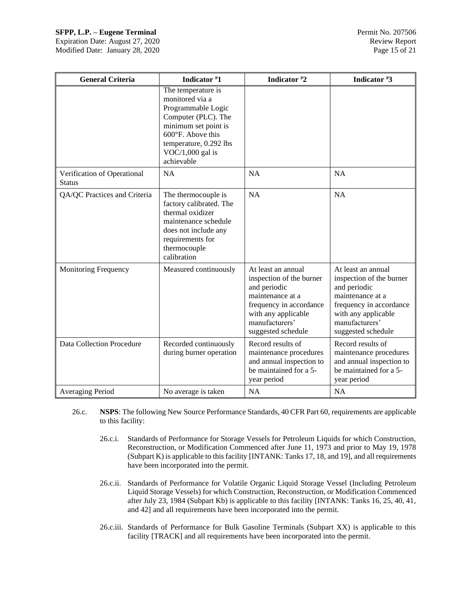## **SFPP, L.P. – Eugene Terminal Permit No. 207506**

Expiration Date: August 27, 2020 Review Report Modified Date: January 28, 2020 Page 15 of 21

| <b>General Criteria</b>                      | Indicator #1                                                                                                                                                                                  | Indicator #2                                                                                                                                                                 | Indicator #3                                                                                                                                                                 |
|----------------------------------------------|-----------------------------------------------------------------------------------------------------------------------------------------------------------------------------------------------|------------------------------------------------------------------------------------------------------------------------------------------------------------------------------|------------------------------------------------------------------------------------------------------------------------------------------------------------------------------|
|                                              | The temperature is<br>monitored via a<br>Programmable Logic<br>Computer (PLC). The<br>minimum set point is<br>600°F. Above this<br>temperature, 0.292 lbs<br>$VOC/1,000$ gal is<br>achievable |                                                                                                                                                                              |                                                                                                                                                                              |
| Verification of Operational<br><b>Status</b> | <b>NA</b>                                                                                                                                                                                     | <b>NA</b>                                                                                                                                                                    | <b>NA</b>                                                                                                                                                                    |
| QA/QC Practices and Criteria                 | The thermocouple is<br>factory calibrated. The<br>thermal oxidizer<br>maintenance schedule<br>does not include any<br>requirements for<br>thermocouple<br>calibration                         | NA                                                                                                                                                                           | <b>NA</b>                                                                                                                                                                    |
| <b>Monitoring Frequency</b>                  | Measured continuously                                                                                                                                                                         | At least an annual<br>inspection of the burner<br>and periodic<br>maintenance at a<br>frequency in accordance<br>with any applicable<br>manufacturers'<br>suggested schedule | At least an annual<br>inspection of the burner<br>and periodic<br>maintenance at a<br>frequency in accordance<br>with any applicable<br>manufacturers'<br>suggested schedule |
| Data Collection Procedure                    | Recorded continuously<br>during burner operation                                                                                                                                              | Record results of<br>maintenance procedures<br>and annual inspection to<br>be maintained for a 5-<br>year period                                                             | Record results of<br>maintenance procedures<br>and annual inspection to<br>be maintained for a 5-<br>year period                                                             |
| Averaging Period                             | No average is taken                                                                                                                                                                           | <b>NA</b>                                                                                                                                                                    | <b>NA</b>                                                                                                                                                                    |

- 26.c. **NSPS**: The following New Source Performance Standards, 40 CFR Part 60, requirements are applicable to this facility:
	- 26.c.i. Standards of Performance for Storage Vessels for Petroleum Liquids for which Construction, Reconstruction, or Modification Commenced after June 11, 1973 and prior to May 19, 1978 (Subpart K) is applicable to this facility [INTANK: Tanks 17, 18, and 19], and all requirements have been incorporated into the permit.
	- 26.c.ii. Standards of Performance for Volatile Organic Liquid Storage Vessel (Including Petroleum Liquid Storage Vessels) for which Construction, Reconstruction, or Modification Commenced after July 23, 1984 (Subpart Kb) is applicable to this facility [INTANK: Tanks 16, 25, 40, 41, and 42] and all requirements have been incorporated into the permit.
	- 26.c.iii. Standards of Performance for Bulk Gasoline Terminals (Subpart XX) is applicable to this facility [TRACK] and all requirements have been incorporated into the permit.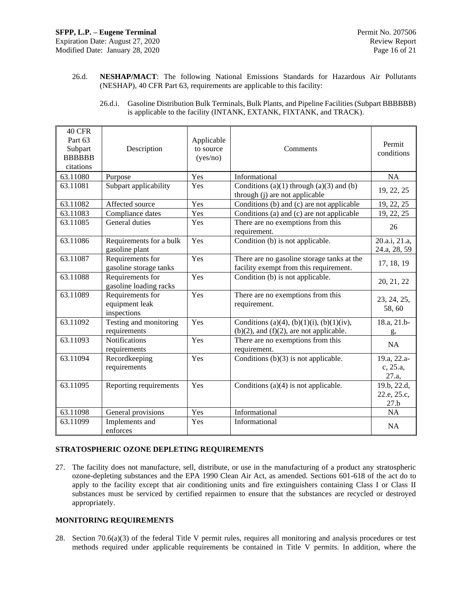26.d. **NESHAP/MACT**: The following National Emissions Standards for Hazardous Air Pollutants (NESHAP), 40 CFR Part 63, requirements are applicable to this facility:

| 40 CFR<br>Part 63<br>Subpart<br><b>BBBBBB</b><br>citations | Description                                       | Applicable<br>to source<br>(yes/no) | Comments                                                                                   | Permit<br>conditions               |
|------------------------------------------------------------|---------------------------------------------------|-------------------------------------|--------------------------------------------------------------------------------------------|------------------------------------|
| 63.11080                                                   | Purpose                                           | Yes                                 | Informational                                                                              | <b>NA</b>                          |
| 63.11081                                                   | Subpart applicability                             | Yes                                 | Conditions $(a)(1)$ through $(a)(3)$ and $(b)$<br>through (j) are not applicable           | 19, 22, 25                         |
| 63.11082                                                   | Affected source                                   | Yes                                 | Conditions (b) and (c) are not applicable                                                  | 19, 22, 25                         |
| 63.11083                                                   | Compliance dates                                  | Yes                                 | Conditions (a) and (c) are not applicable                                                  | 19, 22, 25                         |
| 63.11085                                                   | General duties                                    | Yes                                 | There are no exemptions from this<br>requirement.                                          | 26                                 |
| 63.11086                                                   | Requirements for a bulk<br>gasoline plant         | Yes                                 | Condition (b) is not applicable.                                                           | 20.a.i, 21.a,<br>24.a, 28, 59      |
| 63.11087                                                   | Requirements for<br>gasoline storage tanks        | Yes                                 | There are no gasoline storage tanks at the<br>facility exempt from this requirement.       | 17, 18, 19                         |
| 63.11088                                                   | Requirements for<br>gasoline loading racks        | Yes                                 | Condition (b) is not applicable.                                                           | 20, 21, 22                         |
| 63.11089                                                   | Requirements for<br>equipment leak<br>inspections | Yes                                 | There are no exemptions from this<br>requirement.                                          | 23, 24, 25,<br>58,60               |
| 63.11092                                                   | Testing and monitoring<br>requirements            | Yes                                 | Conditions (a)(4), (b)(1)(i), (b)(1)(iv),<br>$(b)(2)$ , and $(f)(2)$ , are not applicable. | 18.a, 21.b-<br>g,                  |
| 63.11093                                                   | <b>Notifications</b><br>requirements              | Yes                                 | There are no exemptions from this<br>requirement.                                          | <b>NA</b>                          |
| 63.11094                                                   | Recordkeeping<br>requirements                     | Yes                                 | Conditions $(b)(3)$ is not applicable.                                                     | 19.a, 22.a-<br>c, 25.a,<br>27.a,   |
| 63.11095                                                   | Reporting requirements                            | Yes                                 | Conditions $(a)(4)$ is not applicable.                                                     | 19.b, 22.d,<br>22.e, 25.c,<br>27.b |
| 63.11098                                                   | General provisions                                | Yes                                 | Informational                                                                              | NA                                 |
| 63.11099                                                   | Implements and<br>enforces                        | Yes                                 | Informational                                                                              | <b>NA</b>                          |

26.d.i. Gasoline Distribution Bulk Terminals, Bulk Plants, and Pipeline Facilities (Subpart BBBBBB) is applicable to the facility (INTANK, EXTANK, FIXTANK, and TRACK).

## **STRATOSPHERIC OZONE DEPLETING REQUIREMENTS**

27. The facility does not manufacture, sell, distribute, or use in the manufacturing of a product any stratospheric ozone-depleting substances and the EPA 1990 Clean Air Act, as amended. Sections 601-618 of the act do to apply to the facility except that air conditioning units and fire extinguishers containing Class I or Class II substances must be serviced by certified repairmen to ensure that the substances are recycled or destroyed appropriately.

## **MONITORING REQUIREMENTS**

28. Section 70.6(a)(3) of the federal Title V permit rules, requires all monitoring and analysis procedures or test methods required under applicable requirements be contained in Title V permits. In addition, where the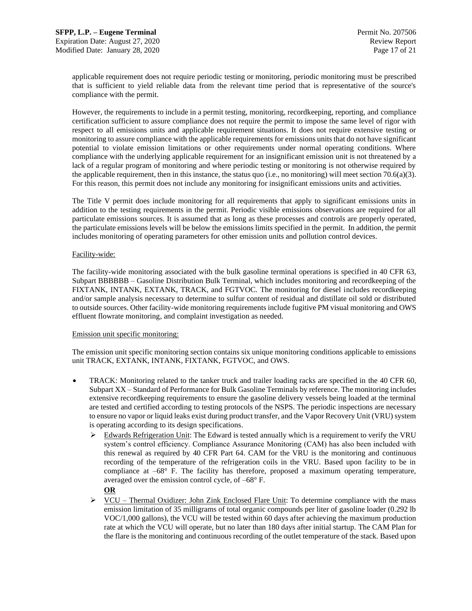applicable requirement does not require periodic testing or monitoring, periodic monitoring must be prescribed that is sufficient to yield reliable data from the relevant time period that is representative of the source's compliance with the permit.

However, the requirements to include in a permit testing, monitoring, recordkeeping, reporting, and compliance certification sufficient to assure compliance does not require the permit to impose the same level of rigor with respect to all emissions units and applicable requirement situations. It does not require extensive testing or monitoring to assure compliance with the applicable requirements for emissions units that do not have significant potential to violate emission limitations or other requirements under normal operating conditions. Where compliance with the underlying applicable requirement for an insignificant emission unit is not threatened by a lack of a regular program of monitoring and where periodic testing or monitoring is not otherwise required by the applicable requirement, then in this instance, the status quo (i.e., no monitoring) will meet section 70.6(a)(3). For this reason, this permit does not include any monitoring for insignificant emissions units and activities.

The Title V permit does include monitoring for all requirements that apply to significant emissions units in addition to the testing requirements in the permit. Periodic visible emissions observations are required for all particulate emissions sources. It is assumed that as long as these processes and controls are properly operated, the particulate emissions levels will be below the emissions limits specified in the permit. In addition, the permit includes monitoring of operating parameters for other emission units and pollution control devices.

## Facility-wide:

The facility-wide monitoring associated with the bulk gasoline terminal operations is specified in 40 CFR 63, Subpart BBBBBB – Gasoline Distribution Bulk Terminal, which includes monitoring and recordkeeping of the FIXTANK, INTANK, EXTANK, TRACK, and FGTVOC. The monitoring for diesel includes recordkeeping and/or sample analysis necessary to determine to sulfur content of residual and distillate oil sold or distributed to outside sources. Other facility-wide monitoring requirements include fugitive PM visual monitoring and OWS effluent flowrate monitoring, and complaint investigation as needed.

#### Emission unit specific monitoring:

The emission unit specific monitoring section contains six unique monitoring conditions applicable to emissions unit TRACK, EXTANK, INTANK, FIXTANK, FGTVOC, and OWS.

- TRACK: Monitoring related to the tanker truck and trailer loading racks are specified in the 40 CFR 60, Subpart XX – Standard of Performance for Bulk Gasoline Terminals by reference. The monitoring includes extensive recordkeeping requirements to ensure the gasoline delivery vessels being loaded at the terminal are tested and certified according to testing protocols of the NSPS. The periodic inspections are necessary to ensure no vapor or liquid leaks exist during product transfer, and the Vapor Recovery Unit (VRU) system is operating according to its design specifications.
	- ➢ Edwards Refrigeration Unit: The Edward is tested annually which is a requirement to verify the VRU system's control efficiency. Compliance Assurance Monitoring (CAM) has also been included with this renewal as required by 40 CFR Part 64. CAM for the VRU is the monitoring and continuous recording of the temperature of the refrigeration coils in the VRU. Based upon facility to be in compliance at –68° F. The facility has therefore, proposed a maximum operating temperature, averaged over the emission control cycle, of –68° F.
		- **OR**
	- ➢ VCU Thermal Oxidizer: John Zink Enclosed Flare Unit: To determine compliance with the mass emission limitation of 35 milligrams of total organic compounds per liter of gasoline loader (0.292 lb VOC/1,000 gallons), the VCU will be tested within 60 days after achieving the maximum production rate at which the VCU will operate, but no later than 180 days after initial startup. The CAM Plan for the flare is the monitoring and continuous recording of the outlet temperature of the stack. Based upon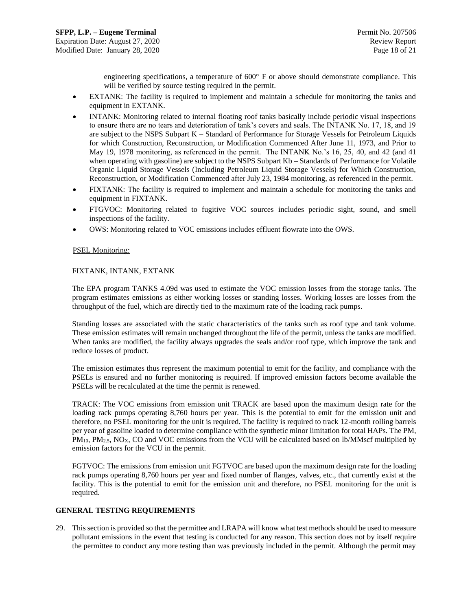engineering specifications, a temperature of 600° F or above should demonstrate compliance. This will be verified by source testing required in the permit.

- EXTANK: The facility is required to implement and maintain a schedule for monitoring the tanks and equipment in EXTANK.
- INTANK: Monitoring related to internal floating roof tanks basically include periodic visual inspections to ensure there are no tears and deterioration of tank's covers and seals. The INTANK No. 17, 18, and 19 are subject to the NSPS Subpart K – Standard of Performance for Storage Vessels for Petroleum Liquids for which Construction, Reconstruction, or Modification Commenced After June 11, 1973, and Prior to May 19, 1978 monitoring, as referenced in the permit. The INTANK No.'s 16, 25, 40, and 42 (and 41 when operating with gasoline) are subject to the NSPS Subpart Kb – Standards of Performance for Volatile Organic Liquid Storage Vessels (Including Petroleum Liquid Storage Vessels) for Which Construction, Reconstruction, or Modification Commenced after July 23, 1984 monitoring, as referenced in the permit.
- FIXTANK: The facility is required to implement and maintain a schedule for monitoring the tanks and equipment in FIXTANK.
- FTGVOC: Monitoring related to fugitive VOC sources includes periodic sight, sound, and smell inspections of the facility.
- OWS: Monitoring related to VOC emissions includes effluent flowrate into the OWS.

## PSEL Monitoring:

## FIXTANK, INTANK, EXTANK

The EPA program TANKS 4.09d was used to estimate the VOC emission losses from the storage tanks. The program estimates emissions as either working losses or standing losses. Working losses are losses from the throughput of the fuel, which are directly tied to the maximum rate of the loading rack pumps.

Standing losses are associated with the static characteristics of the tanks such as roof type and tank volume. These emission estimates will remain unchanged throughout the life of the permit, unless the tanks are modified. When tanks are modified, the facility always upgrades the seals and/or roof type, which improve the tank and reduce losses of product.

The emission estimates thus represent the maximum potential to emit for the facility, and compliance with the PSELs is ensured and no further monitoring is required. If improved emission factors become available the PSELs will be recalculated at the time the permit is renewed.

TRACK: The VOC emissions from emission unit TRACK are based upon the maximum design rate for the loading rack pumps operating 8,760 hours per year. This is the potential to emit for the emission unit and therefore, no PSEL monitoring for the unit is required. The facility is required to track 12-month rolling barrels per year of gasoline loaded to determine compliance with the synthetic minor limitation for total HAPs. The PM,  $PM_{10}$ ,  $PM_{2.5}$ , NO<sub>X</sub>, CO and VOC emissions from the VCU will be calculated based on lb/MMscf multiplied by emission factors for the VCU in the permit.

FGTVOC: The emissions from emission unit FGTVOC are based upon the maximum design rate for the loading rack pumps operating 8,760 hours per year and fixed number of flanges, valves, etc., that currently exist at the facility. This is the potential to emit for the emission unit and therefore, no PSEL monitoring for the unit is required.

#### **GENERAL TESTING REQUIREMENTS**

29. This section is provided so that the permittee and LRAPA will know what test methods should be used to measure pollutant emissions in the event that testing is conducted for any reason. This section does not by itself require the permittee to conduct any more testing than was previously included in the permit. Although the permit may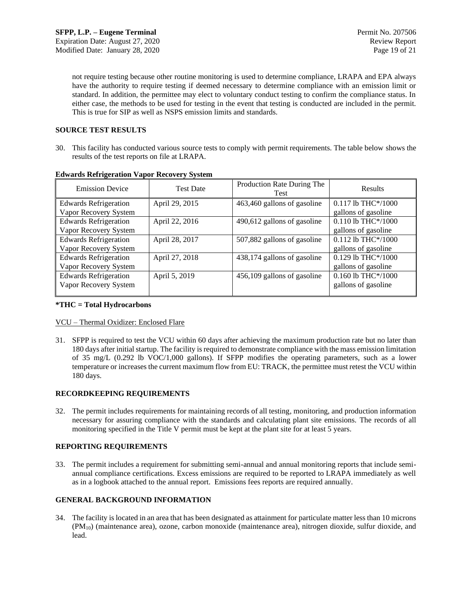not require testing because other routine monitoring is used to determine compliance, LRAPA and EPA always have the authority to require testing if deemed necessary to determine compliance with an emission limit or standard. In addition, the permittee may elect to voluntary conduct testing to confirm the compliance status. In either case, the methods to be used for testing in the event that testing is conducted are included in the permit. This is true for SIP as well as NSPS emission limits and standards.

## **SOURCE TEST RESULTS**

30. This facility has conducted various source tests to comply with permit requirements. The table below shows the results of the test reports on file at LRAPA.

| <b>Emission Device</b>       | <b>Test Date</b> | Production Rate During The<br>Test | Results              |
|------------------------------|------------------|------------------------------------|----------------------|
| <b>Edwards Refrigeration</b> | April 29, 2015   | 463,460 gallons of gasoline        | $0.117$ lb THC*/1000 |
| Vapor Recovery System        |                  |                                    | gallons of gasoline  |
| <b>Edwards Refrigeration</b> | April 22, 2016   | 490,612 gallons of gasoline        | 0.110 lb THC*/1000   |
| Vapor Recovery System        |                  |                                    | gallons of gasoline  |
| <b>Edwards Refrigeration</b> | April 28, 2017   | 507,882 gallons of gasoline        | $0.112$ lb THC*/1000 |
| Vapor Recovery System        |                  |                                    | gallons of gasoline  |
| <b>Edwards Refrigeration</b> | April 27, 2018   | 438,174 gallons of gasoline        | 0.129 lb THC*/1000   |
| Vapor Recovery System        |                  |                                    | gallons of gasoline  |
| <b>Edwards Refrigeration</b> | April 5, 2019    | 456,109 gallons of gasoline        | 0.160 lb THC*/1000   |
| Vapor Recovery System        |                  |                                    | gallons of gasoline  |
|                              |                  |                                    |                      |

## **Edwards Refrigeration Vapor Recovery System**

## **\*THC = Total Hydrocarbons**

## VCU – Thermal Oxidizer: Enclosed Flare

31. SFPP is required to test the VCU within 60 days after achieving the maximum production rate but no later than 180 days after initial startup. The facility is required to demonstrate compliance with the mass emission limitation of 35 mg/L (0.292 lb VOC/1,000 gallons). If SFPP modifies the operating parameters, such as a lower temperature or increases the current maximum flow from EU: TRACK, the permittee must retest the VCU within 180 days.

## **RECORDKEEPING REQUIREMENTS**

32. The permit includes requirements for maintaining records of all testing, monitoring, and production information necessary for assuring compliance with the standards and calculating plant site emissions. The records of all monitoring specified in the Title V permit must be kept at the plant site for at least 5 years.

## **REPORTING REQUIREMENTS**

33. The permit includes a requirement for submitting semi-annual and annual monitoring reports that include semiannual compliance certifications. Excess emissions are required to be reported to LRAPA immediately as well as in a logbook attached to the annual report. Emissions fees reports are required annually.

## **GENERAL BACKGROUND INFORMATION**

34. The facility is located in an area that has been designated as attainment for particulate matter less than 10 microns (PM10) (maintenance area), ozone, carbon monoxide (maintenance area), nitrogen dioxide, sulfur dioxide, and lead.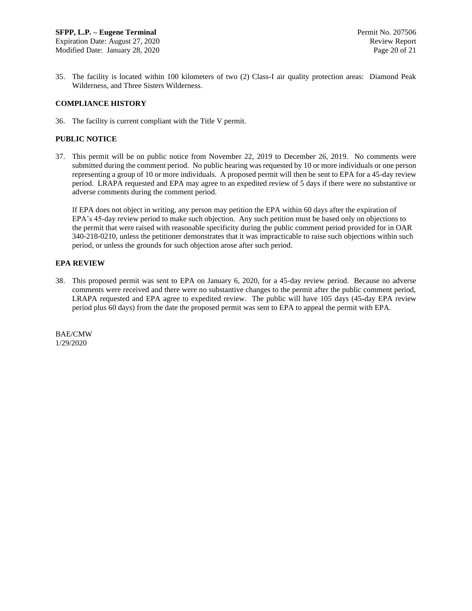35. The facility is located within 100 kilometers of two (2) Class-I air quality protection areas: Diamond Peak Wilderness, and Three Sisters Wilderness.

## **COMPLIANCE HISTORY**

36. The facility is current compliant with the Title V permit.

## **PUBLIC NOTICE**

37. This permit will be on public notice from November 22, 2019 to December 26, 2019. No comments were submitted during the comment period. No public hearing was requested by 10 or more individuals or one person representing a group of 10 or more individuals. A proposed permit will then be sent to EPA for a 45-day review period. LRAPA requested and EPA may agree to an expedited review of 5 days if there were no substantive or adverse comments during the comment period.

If EPA does not object in writing, any person may petition the EPA within 60 days after the expiration of EPA's 45-day review period to make such objection. Any such petition must be based only on objections to the permit that were raised with reasonable specificity during the public comment period provided for in OAR 340-218-0210, unless the petitioner demonstrates that it was impracticable to raise such objections within such period, or unless the grounds for such objection arose after such period.

## **EPA REVIEW**

38. This proposed permit was sent to EPA on January 6, 2020, for a 45-day review period. Because no adverse comments were received and there were no substantive changes to the permit after the public comment period, LRAPA requested and EPA agree to expedited review. The public will have 105 days (45-day EPA review period plus 60 days) from the date the proposed permit was sent to EPA to appeal the permit with EPA.

BAE/CMW 1/29/2020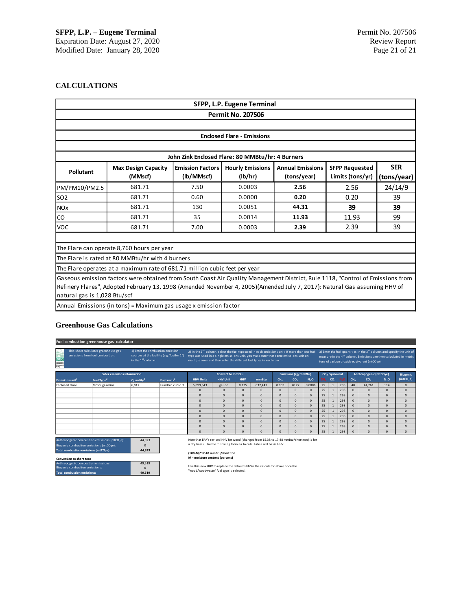## **CALCULATIONS**

| SFPP, L.P. Eugene Terminal                                                                                                                        |                                                                                                                                                                                                                                                             |            |                                                  |             |                  |             |  |
|---------------------------------------------------------------------------------------------------------------------------------------------------|-------------------------------------------------------------------------------------------------------------------------------------------------------------------------------------------------------------------------------------------------------------|------------|--------------------------------------------------|-------------|------------------|-------------|--|
| <b>Permit No. 207506</b>                                                                                                                          |                                                                                                                                                                                                                                                             |            |                                                  |             |                  |             |  |
|                                                                                                                                                   |                                                                                                                                                                                                                                                             |            |                                                  |             |                  |             |  |
|                                                                                                                                                   |                                                                                                                                                                                                                                                             |            | <b>Enclosed Flare - Emissions</b>                |             |                  |             |  |
|                                                                                                                                                   |                                                                                                                                                                                                                                                             |            |                                                  |             |                  |             |  |
|                                                                                                                                                   |                                                                                                                                                                                                                                                             |            | John Zink Enclosed Flare: 80 MMBtu/hr: 4 Burners |             |                  |             |  |
| <b>Hourly Emissions</b><br><b>Annual Emissions</b><br><b>SFPP Requested</b><br><b>Max Design Capacity</b><br><b>Emission Factors</b><br>Pollutant |                                                                                                                                                                                                                                                             |            |                                                  |             |                  | <b>SER</b>  |  |
|                                                                                                                                                   | (MMscf)                                                                                                                                                                                                                                                     | (lb/MMscf) | (lb/hr)                                          | (tons/year) | Limits (tons/yr) | (tons/year) |  |
| PM/PM10/PM2.5                                                                                                                                     | 681.71                                                                                                                                                                                                                                                      | 7.50       | 0.0003                                           | 2.56        | 2.56             | 24/14/9     |  |
| SO <sub>2</sub>                                                                                                                                   | 681.71                                                                                                                                                                                                                                                      | 0.60       | 0.0000                                           | 0.20        | 0.20             | 39          |  |
| <b>NOx</b>                                                                                                                                        | 681.71                                                                                                                                                                                                                                                      | 130        | 0.0051                                           | 44.31       | 39               | 39          |  |
| lco                                                                                                                                               | 681.71                                                                                                                                                                                                                                                      | 35         | 0.0014                                           | 11.93       | 11.93            | 99          |  |
| <b>VOC</b>                                                                                                                                        | 681.71                                                                                                                                                                                                                                                      | 7.00       | 0.0003                                           | 2.39        | 2.39             | 39          |  |
|                                                                                                                                                   |                                                                                                                                                                                                                                                             |            |                                                  |             |                  |             |  |
|                                                                                                                                                   | The Flare can operate 8,760 hours per year                                                                                                                                                                                                                  |            |                                                  |             |                  |             |  |
|                                                                                                                                                   | The Flare is rated at 80 MMBtu/hr with 4 burners                                                                                                                                                                                                            |            |                                                  |             |                  |             |  |
|                                                                                                                                                   | The Flare operates at a maximum rate of 681.71 million cubic feet per year                                                                                                                                                                                  |            |                                                  |             |                  |             |  |
| natural gas is 1,028 Btu/scf                                                                                                                      | Gaseous emission factors were obtained from South Coast Air Quality Management District, Rule 1118, "Control of Emissions from<br>Refinery Flares", Adopted February 13, 1998 (Amended November 4, 2005)(Amended July 7, 2017): Natural Gas assuming HHV of |            |                                                  |             |                  |             |  |
|                                                                                                                                                   | Annual Emissions (in tons) = Maximum gas usage x emission factor                                                                                                                                                                                            |            |                                                  |             |                  |             |  |

## **Greenhouse Gas Calculations**

|                                                   | Fuel combustion greenhouse gas calculator                               |                                                                    |                                           |                                                                                                                                                                                                                                                                         |                         |              |                                                                                                                                                                                                                                  |                 |                             |                  |                 |                            |                  |                 |                                     |                  |                       |
|---------------------------------------------------|-------------------------------------------------------------------------|--------------------------------------------------------------------|-------------------------------------------|-------------------------------------------------------------------------------------------------------------------------------------------------------------------------------------------------------------------------------------------------------------------------|-------------------------|--------------|----------------------------------------------------------------------------------------------------------------------------------------------------------------------------------------------------------------------------------|-----------------|-----------------------------|------------------|-----------------|----------------------------|------------------|-----------------|-------------------------------------|------------------|-----------------------|
|                                                   | This sheet calculates greenhouse gas<br>emissions from fuel combustion. | 1) Enter the combustion emission<br>in the 1 <sup>st</sup> column. | sources at the facility (e.g. "boiler 1") | 2) In the 2 <sup>nd</sup> column, select the fuel type used in each emissions unit. If more than one fuel<br>type was used in a single emissions unit, you must enter that same emissions unit on<br>multiple rows and then enter the different fuel types in each row. |                         |              | 3) Enter the fuel quantities in the 3 <sup>rd</sup> column and specify the unit of<br>measure in the 4 <sup>th</sup> column. Emissions are then calculated in metric<br>tons of carbon dioxide equivalent (mtCO <sub>2</sub> e). |                 |                             |                  |                 |                            |                  |                 |                                     |                  |                       |
|                                                   | <b>Enter emissions information</b>                                      |                                                                    |                                           |                                                                                                                                                                                                                                                                         | <b>Convert to mmBtu</b> |              |                                                                                                                                                                                                                                  |                 | <b>Emissions (kg/mmBtu)</b> |                  |                 | CO <sub>2</sub> Equivalent |                  |                 | Anthropogenic (mtCO <sub>2</sub> e) | <b>Biogenic</b>  |                       |
| Emissions unit <sup>1</sup>                       | Fuel Type <sup>2</sup>                                                  | Quantity <sup>3</sup>                                              | Fuel units <sup>3</sup>                   | <b>HHV Units</b>                                                                                                                                                                                                                                                        | <b>HHV Unit</b>         | <b>HHV</b>   | mmBtu                                                                                                                                                                                                                            | CH <sub>2</sub> | co,                         | N <sub>2</sub> O | CH <sub>2</sub> | co <sub>2</sub>            | N <sub>2</sub> O | CH <sub>3</sub> | co,                                 | N <sub>2</sub> O | (mtCO <sub>2</sub> e) |
| <b>Enclosed Flare</b>                             | Motor gasoline                                                          | 6.817                                                              | Hundred cubic ft                          | 5.099.543                                                                                                                                                                                                                                                               | gallon                  | 0.125        | 637.443                                                                                                                                                                                                                          | 0.003           | 70.22                       | 0.0006           | 25              | $\mathbf{1}$               | 298              | 48              | 44.761                              | 114              | $\Omega$              |
|                                                   |                                                                         |                                                                    |                                           | $\Omega$                                                                                                                                                                                                                                                                | $\Omega$                | $\mathbf{0}$ | $\Omega$                                                                                                                                                                                                                         | $\mathbf{0}$    | $\Omega$                    | $\mathbf{0}$     | 25              | $\mathbf{1}$               | 298              | $\Omega$        | $\Omega$                            | $\Omega$         | $\mathbf{0}$          |
|                                                   |                                                                         |                                                                    |                                           | $\Omega$                                                                                                                                                                                                                                                                | $\Omega$                | $\Omega$     | $\Omega$                                                                                                                                                                                                                         | $\Omega$        | $\Omega$                    | $\mathbf{0}$     | 25              | $\mathbf{1}$               | 298              | $\Omega$        | $\Omega$                            | $\Omega$         | $\mathbf{0}$          |
|                                                   |                                                                         |                                                                    |                                           | $\mathbf{0}$                                                                                                                                                                                                                                                            | $\Omega$                | $\Omega$     | $\Omega$                                                                                                                                                                                                                         | $\Omega$        | $\Omega$                    | $\mathbf{0}$     | 25              | $\mathbf{1}$               | 298              | $\Omega$        | $\Omega$                            | $\Omega$         | $\mathbf{0}$          |
|                                                   |                                                                         |                                                                    |                                           | $\Omega$                                                                                                                                                                                                                                                                | $\Omega$                | $\Omega$     | $\Omega$                                                                                                                                                                                                                         | $\Omega$        | $\Omega$                    | $\Omega$         | 25              | $\mathbf{1}$               | 298              | $\Omega$        | $\Omega$                            | $\Omega$         | $\Omega$              |
|                                                   |                                                                         |                                                                    |                                           | $\Omega$                                                                                                                                                                                                                                                                | $\Omega$                | $\Omega$     | $\Omega$                                                                                                                                                                                                                         | $\Omega$        | $\Omega$                    | $\mathbf{0}$     | 25              |                            | 298              | $\Omega$        | $\Omega$                            | $\Omega$         | $\Omega$              |
|                                                   |                                                                         |                                                                    |                                           | $\Omega$                                                                                                                                                                                                                                                                | $\Omega$                | $\Omega$     | $\Omega$                                                                                                                                                                                                                         | $\Omega$        | $\Omega$                    | $\Omega$         | 25              |                            | 298              | $\Omega$        | $\Omega$                            | $\Omega$         | $\Omega$              |
|                                                   |                                                                         |                                                                    |                                           | $\mathbf{0}$                                                                                                                                                                                                                                                            | $\Omega$                | $\Omega$     | $\Omega$                                                                                                                                                                                                                         | $\Omega$        | $\Omega$                    | $\Omega$         | 25              | $\mathbf{1}$               | 298              | $\Omega$        | $\Omega$                            | $\Omega$         | $\Omega$              |
|                                                   |                                                                         |                                                                    |                                           | $\mathbf{0}$                                                                                                                                                                                                                                                            | $\Omega$                | $\Omega$     | $\Omega$                                                                                                                                                                                                                         | $\Omega$        | $\Omega$                    | $\mathbf{0}$     | 25              | $\mathbf{1}$               | 298              | $\Omega$        | $\Omega$                            | $\Omega$         | $\mathbf{0}$          |
|                                                   |                                                                         |                                                                    |                                           | $\Omega$                                                                                                                                                                                                                                                                | $\Omega$                | $\Omega$     | $\Omega$                                                                                                                                                                                                                         | $\Omega$        | $\Omega$                    | $\Omega$         | 25              | $\mathbf{1}$               | 298              | $\Omega$        | $\Omega$                            | $\Omega$         | $\Omega$              |
|                                                   | Anthropogenic combustion emissions (mtCO2e):                            | 44.923                                                             |                                           | Note that EPA's revised HHV for wood (changed from 15.38 to 17.48 mmBtu/short ton) is for                                                                                                                                                                               |                         |              |                                                                                                                                                                                                                                  |                 |                             |                  |                 |                            |                  |                 |                                     |                  |                       |
|                                                   | Biogenic combustion emissions (mtCO2e):                                 | n                                                                  |                                           | a dry basis. Use the following formula to calculate a wet basis HHV:                                                                                                                                                                                                    |                         |              |                                                                                                                                                                                                                                  |                 |                             |                  |                 |                            |                  |                 |                                     |                  |                       |
| Total combustion emissions (mtCO <sub>2</sub> e): |                                                                         | 44.923                                                             |                                           | (100-M)*17.48 mmBtu/short ton                                                                                                                                                                                                                                           |                         |              |                                                                                                                                                                                                                                  |                 |                             |                  |                 |                            |                  |                 |                                     |                  |                       |
| Conversion to short tons                          |                                                                         |                                                                    |                                           | M = moisture content (percent)                                                                                                                                                                                                                                          |                         |              |                                                                                                                                                                                                                                  |                 |                             |                  |                 |                            |                  |                 |                                     |                  |                       |
| Anthropogenic combustion emissions:               |                                                                         | 49.519                                                             |                                           |                                                                                                                                                                                                                                                                         |                         |              |                                                                                                                                                                                                                                  |                 |                             |                  |                 |                            |                  |                 |                                     |                  |                       |
| Biogenic combustion emissions:                    |                                                                         | $\Omega$                                                           |                                           | Use this new HHV to replace the default HHV in the calculator above once the                                                                                                                                                                                            |                         |              |                                                                                                                                                                                                                                  |                 |                             |                  |                 |                            |                  |                 |                                     |                  |                       |
| <b>Total combustion emissions:</b>                |                                                                         | 49.519                                                             |                                           | "wood/woodwaste" fuel type is selected.                                                                                                                                                                                                                                 |                         |              |                                                                                                                                                                                                                                  |                 |                             |                  |                 |                            |                  |                 |                                     |                  |                       |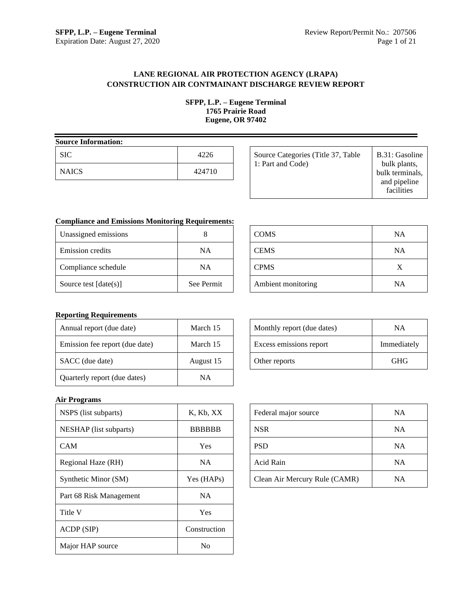## **LANE REGIONAL AIR PROTECTION AGENCY (LRAPA) CONSTRUCTION AIR CONTMAINANT DISCHARGE REVIEW REPORT**

**SFPP, L.P. – Eugene Terminal 1765 Prairie Road Eugene, OR 97402**

| <b>Source Information:</b> |        |  |  |  |  |
|----------------------------|--------|--|--|--|--|
| <b>SIC</b>                 | 4226   |  |  |  |  |
| <b>NAICS</b>               | 424710 |  |  |  |  |

| Source Categories (Title 37, Table<br>1: Part and Code) | B.31: Gasoline<br>bulk plants,<br>bulk terminals,<br>and pipeline<br>facilities |
|---------------------------------------------------------|---------------------------------------------------------------------------------|
|---------------------------------------------------------|---------------------------------------------------------------------------------|

# **Compliance and Emissions Monitoring Requirements:**

| Unassigned emissions    |            |
|-------------------------|------------|
| Emission credits        | ΝA         |
| Compliance schedule     | ΝA         |
| Source test $[date(s)]$ | See Permit |

| <b>COMS</b>        | <b>NA</b> |
|--------------------|-----------|
| <b>CEMS</b>        | <b>NA</b> |
| <b>CPMS</b>        | X         |
| Ambient monitoring | <b>NA</b> |

## **Reporting Requirements**

| Annual report (due date)       | March 15  |
|--------------------------------|-----------|
| Emission fee report (due date) | March 15  |
| SACC (due date)                | August 15 |
| Quarterly report (due dates)   | NΑ        |

| Monthly report (due dates) | NΑ          |
|----------------------------|-------------|
| Excess emissions report    | Immediately |
| Other reports              | GHG         |

## **Air Programs**

| NSPS (list subparts)    | K, Kb, XX     |
|-------------------------|---------------|
| NESHAP (list subparts)  | <b>BBBBBB</b> |
| <b>CAM</b>              | Yes           |
| Regional Haze (RH)      | NA.           |
| Synthetic Minor (SM)    | Yes (HAPs)    |
| Part 68 Risk Management | <b>NA</b>     |
| Title V                 | Yes           |
| ACDP (SIP)              | Construction  |
| Major HAP source        | Nο            |

| Federal major source          | <b>NA</b> |
|-------------------------------|-----------|
| <b>NSR</b>                    | <b>NA</b> |
| <b>PSD</b>                    | <b>NA</b> |
| Acid Rain                     | <b>NA</b> |
| Clean Air Mercury Rule (CAMR) | NA        |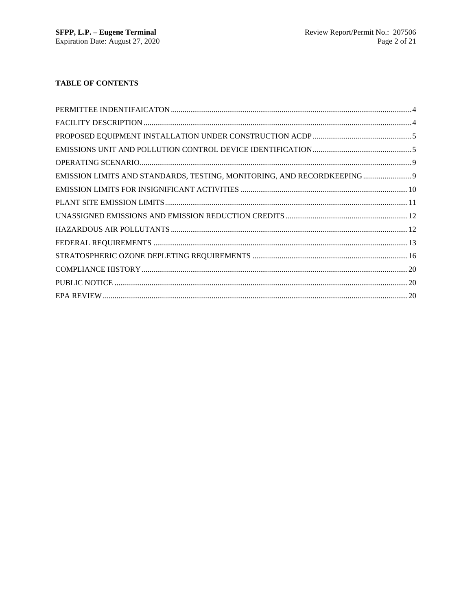# **TABLE OF CONTENTS**

| EMISSION LIMITS AND STANDARDS, TESTING, MONITORING, AND RECORDKEEPING |  |
|-----------------------------------------------------------------------|--|
|                                                                       |  |
|                                                                       |  |
|                                                                       |  |
|                                                                       |  |
|                                                                       |  |
|                                                                       |  |
|                                                                       |  |
|                                                                       |  |
|                                                                       |  |
|                                                                       |  |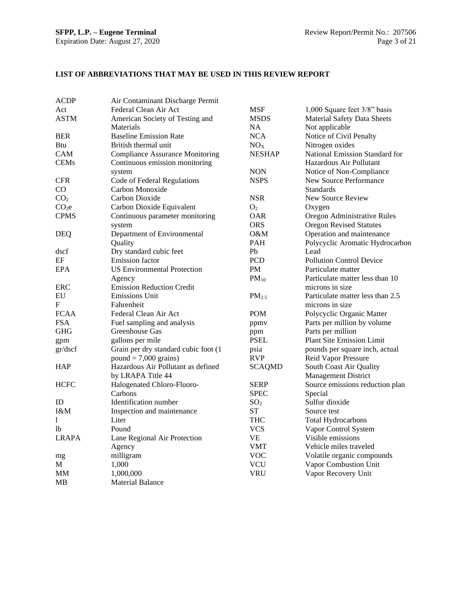## **LIST OF ABBREVIATIONS THAT MAY BE USED IN THIS REVIEW REPORT**

| <b>ACDP</b>       | Air Contaminant Discharge Permit       |                   |                                    |
|-------------------|----------------------------------------|-------------------|------------------------------------|
| Act               | Federal Clean Air Act                  | <b>MSF</b>        | 1,000 Square feet 3/8" basis       |
| ASTM              | American Society of Testing and        | MSDS              | <b>Material Safety Data Sheets</b> |
|                   | Materials                              | NA                | Not applicable                     |
| BER               | <b>Baseline Emission Rate</b>          | <b>NCA</b>        | Notice of Civil Penalty            |
| Btu               | British thermal unit                   | NO <sub>X</sub>   | Nitrogen oxides                    |
| CAM               | <b>Compliance Assurance Monitoring</b> | <b>NESHAP</b>     | National Emission Standard for     |
| <b>CEMs</b>       | Continuous emission monitoring         |                   | Hazardous Air Pollutant            |
|                   | system                                 | NON               | Notice of Non-Compliance           |
| <b>CFR</b>        | Code of Federal Regulations            | <b>NSPS</b>       | New Source Performance             |
| CO                | Carbon Monoxide                        |                   | <b>Standards</b>                   |
| CO <sub>2</sub>   | Carbon Dioxide                         | <b>NSR</b>        | New Source Review                  |
| CO <sub>2</sub> e | Carbon Dioxide Equivalent              | O <sub>2</sub>    | Oxygen                             |
| <b>CPMS</b>       | Continuous parameter monitoring        | <b>OAR</b>        | Oregon Administrative Rules        |
|                   | system                                 | ORS.              | <b>Oregon Revised Statutes</b>     |
| <b>DEQ</b>        | Department of Environmental            | O&M               | Operation and maintenance          |
|                   | Quality                                | <b>PAH</b>        | Polycyclic Aromatic Hydrocarbon    |
| dscf              | Dry standard cubic feet                | Pb                | Lead                               |
| EF                | <b>Emission</b> factor                 | <b>PCD</b>        | <b>Pollution Control Device</b>    |
| EPA               | <b>US Environmental Protection</b>     | PM                | Particulate matter                 |
|                   | Agency                                 | $PM_{10}$         | Particulate matter less than 10    |
| ERC               | <b>Emission Reduction Credit</b>       |                   | microns in size                    |
| EU                | <b>Emissions Unit</b>                  | PM <sub>2.5</sub> | Particulate matter less than 2.5   |
| F                 | Fahrenheit                             |                   | microns in size                    |
| <b>FCAA</b>       | Federal Clean Air Act                  | <b>POM</b>        | Polycyclic Organic Matter          |
| <b>FSA</b>        | Fuel sampling and analysis             | ppmy              | Parts per million by volume        |
| GHG               | Greenhouse Gas                         | ppm               | Parts per million                  |
| gpm               | gallons per mile                       | <b>PSEL</b>       | Plant Site Emission Limit          |
| gr/dscf           | Grain per dry standard cubic foot (1   | psia              | pounds per square inch, actual     |
|                   | $pound = 7,000 \text{ grains}$         | <b>RVP</b>        | Reid Vapor Pressure                |
| <b>HAP</b>        | Hazardous Air Pollutant as defined     | <b>SCAQMD</b>     | South Coast Air Quality            |
|                   | by LRAPA Title 44                      |                   | <b>Management District</b>         |
| HCFC              | Halogenated Chloro-Fluoro-             | <b>SERP</b>       | Source emissions reduction plan    |
|                   | Carbons                                | <b>SPEC</b>       | Special                            |
| ID                | Identification number                  | SO <sub>2</sub>   | Sulfur dioxide                     |
| I&M               | Inspection and maintenance             | <b>ST</b>         | Source test                        |
| 1                 | Liter                                  | <b>THC</b>        | <b>Total Hydrocarbons</b>          |
| lb                | Pound                                  | VCS               | Vapor Control System               |
| <b>LRAPA</b>      | Lane Regional Air Protection           | VE                | Visible emissions                  |
|                   | Agency                                 | VMT               | Vehicle miles traveled             |
| mg                | milligram                              | <b>VOC</b>        | Volatile organic compounds         |
| М                 | 1,000                                  | <b>VCU</b>        | Vapor Combustion Unit              |
| MМ                | 1,000,000                              | VRU               | Vapor Recovery Unit                |
| MВ                | <b>Material Balance</b>                |                   |                                    |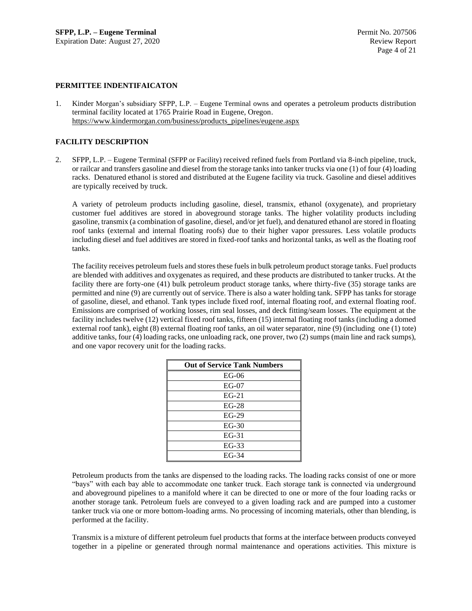## **PERMITTEE INDENTIFAICATON**

1. Kinder Morgan's subsidiary SFPP, L.P. – Eugene Terminal owns and operates a petroleum products distribution terminal facility located at 1765 Prairie Road in Eugene, Oregon. [https://www.kindermorgan.com/business/products\\_pipelines/eugene.aspx](https://www.kindermorgan.com/business/products_pipelines/eugene.aspx)

## **FACILITY DESCRIPTION**

2. SFPP, L.P. – Eugene Terminal (SFPP or Facility) received refined fuels from Portland via 8-inch pipeline, truck, or railcar and transfers gasoline and diesel from the storage tanks into tanker trucks via one (1) of four (4) loading racks. Denatured ethanol is stored and distributed at the Eugene facility via truck. Gasoline and diesel additives are typically received by truck.

A variety of petroleum products including gasoline, diesel, transmix, ethanol (oxygenate), and proprietary customer fuel additives are stored in aboveground storage tanks. The higher volatility products including gasoline, transmix (a combination of gasoline, diesel, and/or jet fuel), and denatured ethanol are stored in floating roof tanks (external and internal floating roofs) due to their higher vapor pressures. Less volatile products including diesel and fuel additives are stored in fixed-roof tanks and horizontal tanks, as well as the floating roof tanks.

The facility receives petroleum fuels and stores these fuels in bulk petroleum product storage tanks. Fuel products are blended with additives and oxygenates as required, and these products are distributed to tanker trucks. At the facility there are forty-one (41) bulk petroleum product storage tanks, where thirty-five (35) storage tanks are permitted and nine (9) are currently out of service. There is also a water holding tank. SFPP has tanks for storage of gasoline, diesel, and ethanol. Tank types include fixed roof, internal floating roof, and external floating roof. Emissions are comprised of working losses, rim seal losses, and deck fitting/seam losses. The equipment at the facility includes twelve (12) vertical fixed roof tanks, fifteen (15) internal floating roof tanks (including a domed external roof tank), eight (8) external floating roof tanks, an oil water separator, nine (9) (including one (1) tote) additive tanks, four (4) loading racks, one unloading rack, one prover, two (2) sumps (main line and rack sumps), and one vapor recovery unit for the loading racks.

| <b>Out of Service Tank Numbers</b> |  |  |  |
|------------------------------------|--|--|--|
| $EG-06$                            |  |  |  |
| $EG-07$                            |  |  |  |
| $EG-21$                            |  |  |  |
| $EG-28$                            |  |  |  |
| $EG-29$                            |  |  |  |
| $EG-30$                            |  |  |  |
| $EG-31$                            |  |  |  |
| $EG-33$                            |  |  |  |
| $EG-34$                            |  |  |  |

Petroleum products from the tanks are dispensed to the loading racks. The loading racks consist of one or more "bays" with each bay able to accommodate one tanker truck. Each storage tank is connected via underground and aboveground pipelines to a manifold where it can be directed to one or more of the four loading racks or another storage tank. Petroleum fuels are conveyed to a given loading rack and are pumped into a customer tanker truck via one or more bottom-loading arms. No processing of incoming materials, other than blending, is performed at the facility.

Transmix is a mixture of different petroleum fuel products that forms at the interface between products conveyed together in a pipeline or generated through normal maintenance and operations activities. This mixture is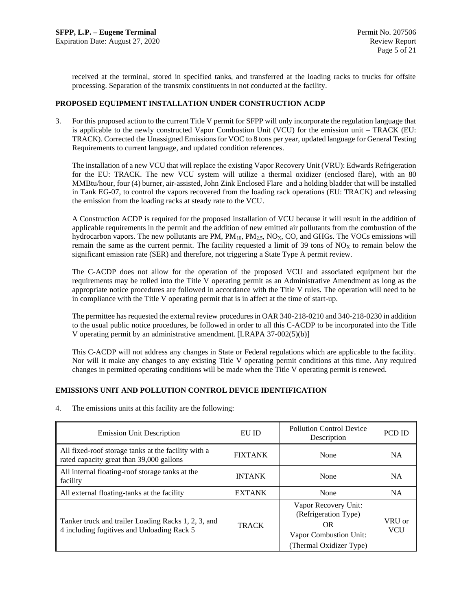received at the terminal, stored in specified tanks, and transferred at the loading racks to trucks for offsite processing. Separation of the transmix constituents in not conducted at the facility.

## **PROPOSED EQUIPMENT INSTALLATION UNDER CONSTRUCTION ACDP**

3. For this proposed action to the current Title V permit for SFPP will only incorporate the regulation language that is applicable to the newly constructed Vapor Combustion Unit (VCU) for the emission unit – TRACK (EU: TRACK). Corrected the Unassigned Emissions for VOC to 8 tons per year, updated language for General Testing Requirements to current language, and updated condition references.

The installation of a new VCU that will replace the existing Vapor Recovery Unit (VRU): Edwards Refrigeration for the EU: TRACK. The new VCU system will utilize a thermal oxidizer (enclosed flare), with an 80 MMBtu/hour, four (4) burner, air-assisted, John Zink Enclosed Flare and a holding bladder that will be installed in Tank EG-07, to control the vapors recovered from the loading rack operations (EU: TRACK) and releasing the emission from the loading racks at steady rate to the VCU.

A Construction ACDP is required for the proposed installation of VCU because it will result in the addition of applicable requirements in the permit and the addition of new emitted air pollutants from the combustion of the hydrocarbon vapors. The new pollutants are  $PM$ ,  $PM_{10}$ ,  $PM_{2.5}$ ,  $NO<sub>X</sub>$ ,  $CO$ , and GHGs. The VOCs emissions will remain the same as the current permit. The facility requested a limit of 39 tons of  $NO<sub>X</sub>$  to remain below the significant emission rate (SER) and therefore, not triggering a State Type A permit review.

The C-ACDP does not allow for the operation of the proposed VCU and associated equipment but the requirements may be rolled into the Title V operating permit as an Administrative Amendment as long as the appropriate notice procedures are followed in accordance with the Title V rules. The operation will need to be in compliance with the Title V operating permit that is in affect at the time of start-up.

The permittee has requested the external review procedures in OAR 340-218-0210 and 340-218-0230 in addition to the usual public notice procedures, be followed in order to all this C-ACDP to be incorporated into the Title V operating permit by an administrative amendment. [LRAPA 37-002(5)(b)]

This C-ACDP will not address any changes in State or Federal regulations which are applicable to the facility. Nor will it make any changes to any existing Title V operating permit conditions at this time. Any required changes in permitted operating conditions will be made when the Title V operating permit is renewed.

## **EMISSIONS UNIT AND POLLUTION CONTROL DEVICE IDENTIFICATION**

4. The emissions units at this facility are the following:

| <b>Emission Unit Description</b>                                                                  | EU ID                 | <b>Pollution Control Device</b><br>Description                                                          |                      |
|---------------------------------------------------------------------------------------------------|-----------------------|---------------------------------------------------------------------------------------------------------|----------------------|
| All fixed-roof storage tanks at the facility with a<br>rated capacity great than 39,000 gallons   | <b>FIXTANK</b>        | None                                                                                                    | <b>NA</b>            |
| All internal floating-roof storage tanks at the<br>facility                                       | <b>INTANK</b><br>None |                                                                                                         | <b>NA</b>            |
| All external floating-tanks at the facility                                                       | <b>EXTANK</b>         | None                                                                                                    | <b>NA</b>            |
| Tanker truck and trailer Loading Racks 1, 2, 3, and<br>4 including fugitives and Unloading Rack 5 | <b>TRACK</b>          | Vapor Recovery Unit:<br>(Refrigeration Type)<br>OR<br>Vapor Combustion Unit:<br>(Thermal Oxidizer Type) | VRU or<br><b>VCU</b> |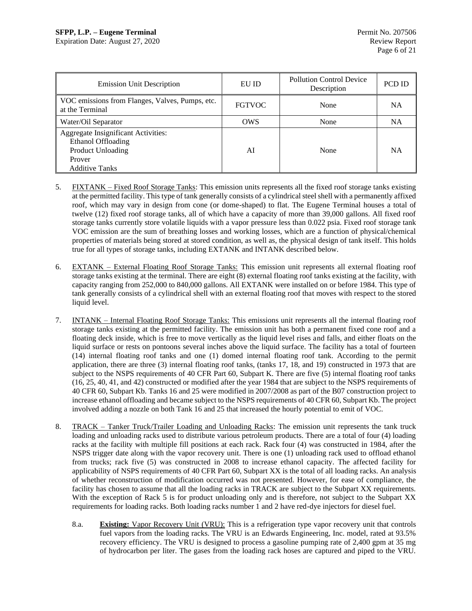Expiration Date: August 27, 2020 Review Report

| <b>Emission Unit Description</b>                                                                                  | EU ID         | <b>Pollution Control Device</b><br>Description | PCD ID    |
|-------------------------------------------------------------------------------------------------------------------|---------------|------------------------------------------------|-----------|
| VOC emissions from Flanges, Valves, Pumps, etc.<br>at the Terminal                                                | <b>FGTVOC</b> | None                                           | NΑ        |
| Water/Oil Separator                                                                                               | <b>OWS</b>    | None                                           | NA        |
| Aggregate Insignificant Activities:<br>Ethanol Offloading<br>Product Unloading<br>Prover<br><b>Additive Tanks</b> | AI            | None                                           | <b>NA</b> |

- 5. FIXTANK Fixed Roof Storage Tanks: This emission units represents all the fixed roof storage tanks existing at the permitted facility. This type of tank generally consists of a cylindrical steel shell with a permanently affixed roof, which may vary in design from cone (or dome-shaped) to flat. The Eugene Terminal houses a total of twelve (12) fixed roof storage tanks, all of which have a capacity of more than 39,000 gallons. All fixed roof storage tanks currently store volatile liquids with a vapor pressure less than 0.022 psia. Fixed roof storage tank VOC emission are the sum of breathing losses and working losses, which are a function of physical/chemical properties of materials being stored at stored condition, as well as, the physical design of tank itself. This holds true for all types of storage tanks, including EXTANK and INTANK described below.
- 6. EXTANK External Floating Roof Storage Tanks: This emission unit represents all external floating roof storage tanks existing at the terminal. There are eight (8) external floating roof tanks existing at the facility, with capacity ranging from 252,000 to 840,000 gallons. All EXTANK were installed on or before 1984. This type of tank generally consists of a cylindrical shell with an external floating roof that moves with respect to the stored liquid level.
- 7. INTANK Internal Floating Roof Storage Tanks: This emissions unit represents all the internal floating roof storage tanks existing at the permitted facility. The emission unit has both a permanent fixed cone roof and a floating deck inside, which is free to move vertically as the liquid level rises and falls, and either floats on the liquid surface or rests on pontoons several inches above the liquid surface. The facility has a total of fourteen (14) internal floating roof tanks and one (1) domed internal floating roof tank. According to the permit application, there are three (3) internal floating roof tanks, (tanks 17, 18, and 19) constructed in 1973 that are subject to the NSPS requirements of 40 CFR Part 60, Subpart K. There are five (5) internal floating roof tanks (16, 25, 40, 41, and 42) constructed or modified after the year 1984 that are subject to the NSPS requirements of 40 CFR 60, Subpart Kb. Tanks 16 and 25 were modified in 2007/2008 as part of the B07 construction project to increase ethanol offloading and became subject to the NSPS requirements of 40 CFR 60, Subpart Kb. The project involved adding a nozzle on both Tank 16 and 25 that increased the hourly potential to emit of VOC.
- 8. TRACK Tanker Truck/Trailer Loading and Unloading Racks: The emission unit represents the tank truck loading and unloading racks used to distribute various petroleum products. There are a total of four (4) loading racks at the facility with multiple fill positions at each rack. Rack four (4) was constructed in 1984, after the NSPS trigger date along with the vapor recovery unit. There is one (1) unloading rack used to offload ethanol from trucks; rack five (5) was constructed in 2008 to increase ethanol capacity. The affected facility for applicability of NSPS requirements of 40 CFR Part 60, Subpart XX is the total of all loading racks. An analysis of whether reconstruction of modification occurred was not presented. However, for ease of compliance, the facility has chosen to assume that all the loading racks in TRACK are subject to the Subpart XX requirements. With the exception of Rack 5 is for product unloading only and is therefore, not subject to the Subpart XX requirements for loading racks. Both loading racks number 1 and 2 have red-dye injectors for diesel fuel.
	- 8.a. **Existing:** Vapor Recovery Unit (VRU): This is a refrigeration type vapor recovery unit that controls fuel vapors from the loading racks. The VRU is an Edwards Engineering, Inc. model, rated at 93.5% recovery efficiency. The VRU is designed to process a gasoline pumping rate of 2,400 gpm at 35 mg of hydrocarbon per liter. The gases from the loading rack hoses are captured and piped to the VRU.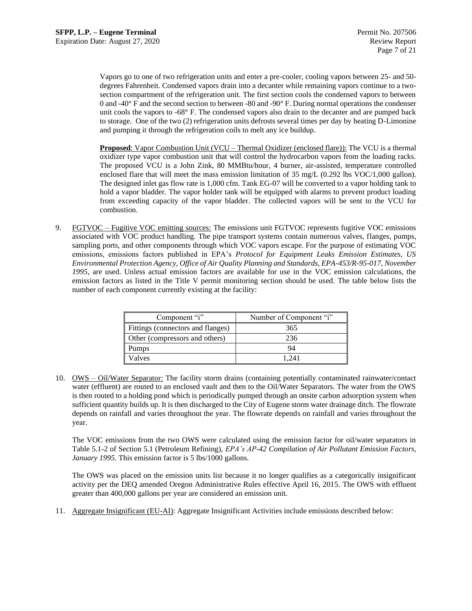Vapors go to one of two refrigeration units and enter a pre-cooler, cooling vapors between 25- and 50 degrees Fahrenheit. Condensed vapors drain into a decanter while remaining vapors continue to a twosection compartment of the refrigeration unit. The first section cools the condensed vapors to between 0 and -40° F and the second section to between -80 and -90° F. During normal operations the condenser unit cools the vapors to -68° F. The condensed vapors also drain to the decanter and are pumped back to storage. One of the two (2) refrigeration units defrosts several times per day by heating D-Limonine and pumping it through the refrigeration coils to melt any ice buildup.

**Proposed**: Vapor Combustion Unit (VCU – Thermal Oxidizer (enclosed flare)): The VCU is a thermal oxidizer type vapor combustion unit that will control the hydrocarbon vapors from the loading racks. The proposed VCU is a John Zink, 80 MMBtu/hour, 4 burner, air-assisted, temperature controlled enclosed flare that will meet the mass emission limitation of 35 mg/L (0.292 lbs VOC/1,000 gallon). The designed inlet gas flow rate is 1,000 cfm. Tank EG-07 will be converted to a vapor holding tank to hold a vapor bladder. The vapor holder tank will be equipped with alarms to prevent product loading from exceeding capacity of the vapor bladder. The collected vapors will be sent to the VCU for combustion.

9. FGTVOC – Fugitive VOC emitting sources: The emissions unit FGTVOC represents fugitive VOC emissions associated with VOC product handling. The pipe transport systems contain numerous valves, flanges, pumps, sampling ports, and other components through which VOC vapors escape. For the purpose of estimating VOC emissions, emissions factors published in EPA's *Protocol for Equipment Leaks Emission Estimates, US Environmental Protection Agency, Office of Air Quality Planning and Standards, EPA-453/R-95-017, November 1995*, are used. Unless actual emission factors are available for use in the VOC emission calculations, the emission factors as listed in the Title V permit monitoring section should be used. The table below lists the number of each component currently existing at the facility:

| Component "i"                     | Number of Component "i" |
|-----------------------------------|-------------------------|
| Fittings (connectors and flanges) | 365                     |
| Other (compressors and others)    | 236                     |
| Pumps                             | 94                      |
| Valves                            | 1 241                   |

10. OWS – Oil/Water Separator: The facility storm drains (containing potentially contaminated rainwater/contact water (effluent) are routed to an enclosed vault and then to the Oil/Water Separators. The water from the OWS is then routed to a holding pond which is periodically pumped through an onsite carbon adsorption system when sufficient quantity builds up. It is then discharged to the City of Eugene storm water drainage ditch. The flowrate depends on rainfall and varies throughout the year. The flowrate depends on rainfall and varies throughout the year.

The VOC emissions from the two OWS were calculated using the emission factor for oil/water separators in Table 5.1-2 of Section 5.1 (Petroleum Refining), *EPA's AP-42 Compilation of Air Pollutant Emission Factors, January 1995*. This emission factor is 5 lbs/1000 gallons.

The OWS was placed on the emission units list because it no longer qualifies as a categorically insignificant activity per the DEQ amended Oregon Administrative Rules effective April 16, 2015. The OWS with effluent greater than 400,000 gallons per year are considered an emission unit.

11. Aggregate Insignificant (EU-AI): Aggregate Insignificant Activities include emissions described below: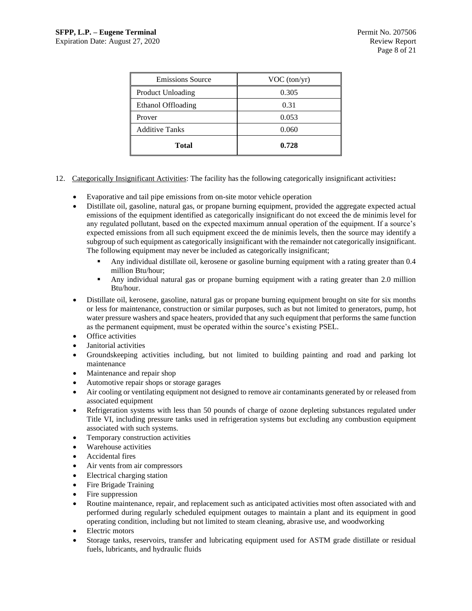| <b>Emissions Source</b> | VOC (ton/yr) |  |  |
|-------------------------|--------------|--|--|
| Product Unloading       | 0.305        |  |  |
| Ethanol Offloading      | 0.31         |  |  |
| Prover                  | 0.053        |  |  |
| <b>Additive Tanks</b>   | 0.060        |  |  |
| <b>Total</b>            | 0.728        |  |  |

- 12. Categorically Insignificant Activities: The facility has the following categorically insignificant activities**:**
	- Evaporative and tail pipe emissions from on-site motor vehicle operation
	- Distillate oil, gasoline, natural gas, or propane burning equipment, provided the aggregate expected actual emissions of the equipment identified as categorically insignificant do not exceed the de minimis level for any regulated pollutant, based on the expected maximum annual operation of the equipment. If a source's expected emissions from all such equipment exceed the de minimis levels, then the source may identify a subgroup of such equipment as categorically insignificant with the remainder not categorically insignificant. The following equipment may never be included as categorically insignificant;
		- Any individual distillate oil, kerosene or gasoline burning equipment with a rating greater than 0.4 million Btu/hour;
		- Any individual natural gas or propane burning equipment with a rating greater than 2.0 million Btu/hour.
	- Distillate oil, kerosene, gasoline, natural gas or propane burning equipment brought on site for six months or less for maintenance, construction or similar purposes, such as but not limited to generators, pump, hot water pressure washers and space heaters, provided that any such equipment that performs the same function as the permanent equipment, must be operated within the source's existing PSEL.
	- Office activities
	- Janitorial activities
	- Groundskeeping activities including, but not limited to building painting and road and parking lot maintenance
	- Maintenance and repair shop
	- Automotive repair shops or storage garages
	- Air cooling or ventilating equipment not designed to remove air contaminants generated by or released from associated equipment
	- Refrigeration systems with less than 50 pounds of charge of ozone depleting substances regulated under Title VI, including pressure tanks used in refrigeration systems but excluding any combustion equipment associated with such systems.
	- Temporary construction activities
	- Warehouse activities
	- Accidental fires
	- Air vents from air compressors
	- Electrical charging station
	- Fire Brigade Training
	- Fire suppression
	- Routine maintenance, repair, and replacement such as anticipated activities most often associated with and performed during regularly scheduled equipment outages to maintain a plant and its equipment in good operating condition, including but not limited to steam cleaning, abrasive use, and woodworking
	- Electric motors
	- Storage tanks, reservoirs, transfer and lubricating equipment used for ASTM grade distillate or residual fuels, lubricants, and hydraulic fluids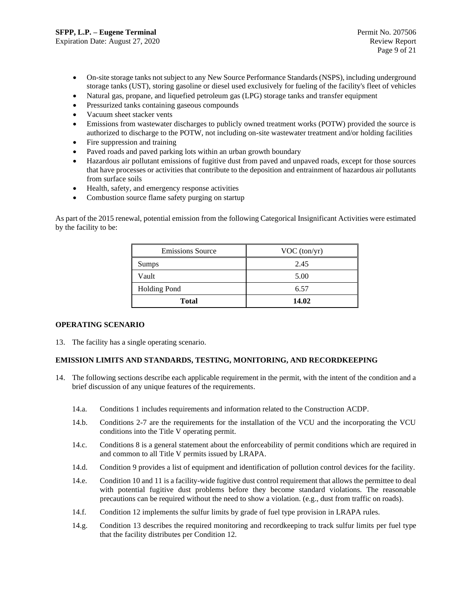- On-site storage tanks not subject to any New Source Performance Standards (NSPS), including underground storage tanks (UST), storing gasoline or diesel used exclusively for fueling of the facility's fleet of vehicles
- Natural gas, propane, and liquefied petroleum gas (LPG) storage tanks and transfer equipment
- Pressurized tanks containing gaseous compounds
- Vacuum sheet stacker vents
- Emissions from wastewater discharges to publicly owned treatment works (POTW) provided the source is authorized to discharge to the POTW, not including on-site wastewater treatment and/or holding facilities
- Fire suppression and training
- Paved roads and paved parking lots within an urban growth boundary
- Hazardous air pollutant emissions of fugitive dust from paved and unpaved roads, except for those sources that have processes or activities that contribute to the deposition and entrainment of hazardous air pollutants from surface soils
- Health, safety, and emergency response activities
- Combustion source flame safety purging on startup

As part of the 2015 renewal, potential emission from the following Categorical Insignificant Activities were estimated by the facility to be:

| <b>Emissions Source</b> | VOC (ton/yr) |  |  |
|-------------------------|--------------|--|--|
| Sumps                   | 2.45         |  |  |
| Vault                   | 5.00         |  |  |
| <b>Holding Pond</b>     | 6.57         |  |  |
| <b>Total</b>            | 14.02        |  |  |

## **OPERATING SCENARIO**

13. The facility has a single operating scenario.

## **EMISSION LIMITS AND STANDARDS, TESTING, MONITORING, AND RECORDKEEPING**

- 14. The following sections describe each applicable requirement in the permit, with the intent of the condition and a brief discussion of any unique features of the requirements.
	- 14.a. Conditions 1 includes requirements and information related to the Construction ACDP.
	- 14.b. Conditions 2-7 are the requirements for the installation of the VCU and the incorporating the VCU conditions into the Title V operating permit.
	- 14.c. Conditions 8 is a general statement about the enforceability of permit conditions which are required in and common to all Title V permits issued by LRAPA.
	- 14.d. Condition 9 provides a list of equipment and identification of pollution control devices for the facility.
	- 14.e. Condition 10 and 11 is a facility-wide fugitive dust control requirement that allows the permittee to deal with potential fugitive dust problems before they become standard violations. The reasonable precautions can be required without the need to show a violation. (e.g., dust from traffic on roads).
	- 14.f. Condition 12 implements the sulfur limits by grade of fuel type provision in LRAPA rules.
	- 14.g. Condition 13 describes the required monitoring and recordkeeping to track sulfur limits per fuel type that the facility distributes per Condition 12.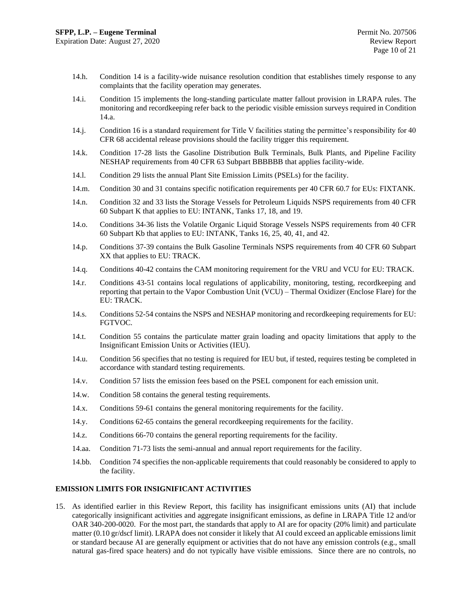- 14.h. Condition 14 is a facility-wide nuisance resolution condition that establishes timely response to any complaints that the facility operation may generates.
- 14.i. Condition 15 implements the long-standing particulate matter fallout provision in LRAPA rules. The monitoring and recordkeeping refer back to the periodic visible emission surveys required in Condition 14.a.
- 14.j. Condition 16 is a standard requirement for Title V facilities stating the permittee's responsibility for 40 CFR 68 accidental release provisions should the facility trigger this requirement.
- 14.k. Condition 17-28 lists the Gasoline Distribution Bulk Terminals, Bulk Plants, and Pipeline Facility NESHAP requirements from 40 CFR 63 Subpart BBBBBB that applies facility-wide.
- 14.l. Condition 29 lists the annual Plant Site Emission Limits (PSELs) for the facility.
- 14.m. Condition 30 and 31 contains specific notification requirements per 40 CFR 60.7 for EUs: FIXTANK.
- 14.n. Condition 32 and 33 lists the Storage Vessels for Petroleum Liquids NSPS requirements from 40 CFR 60 Subpart K that applies to EU: INTANK, Tanks 17, 18, and 19.
- 14.o. Conditions 34-36 lists the Volatile Organic Liquid Storage Vessels NSPS requirements from 40 CFR 60 Subpart Kb that applies to EU: INTANK, Tanks 16, 25, 40, 41, and 42.
- 14.p. Conditions 37-39 contains the Bulk Gasoline Terminals NSPS requirements from 40 CFR 60 Subpart XX that applies to EU: TRACK.
- 14.q. Conditions 40-42 contains the CAM monitoring requirement for the VRU and VCU for EU: TRACK.
- 14.r. Conditions 43-51 contains local regulations of applicability, monitoring, testing, recordkeeping and reporting that pertain to the Vapor Combustion Unit (VCU) – Thermal Oxidizer (Enclose Flare) for the EU: TRACK.
- 14.s. Conditions 52-54 contains the NSPS and NESHAP monitoring and recordkeeping requirements for EU: FGTVOC.
- 14.t. Condition 55 contains the particulate matter grain loading and opacity limitations that apply to the Insignificant Emission Units or Activities (IEU).
- 14.u. Condition 56 specifies that no testing is required for IEU but, if tested, requires testing be completed in accordance with standard testing requirements.
- 14.v. Condition 57 lists the emission fees based on the PSEL component for each emission unit.
- 14.w. Condition 58 contains the general testing requirements.
- 14.x. Conditions 59-61 contains the general monitoring requirements for the facility.
- 14.y. Conditions 62-65 contains the general recordkeeping requirements for the facility.
- 14.z. Conditions 66-70 contains the general reporting requirements for the facility.
- 14.aa. Condition 71-73 lists the semi-annual and annual report requirements for the facility.
- 14.bb. Condition 74 specifies the non-applicable requirements that could reasonably be considered to apply to the facility.

## **EMISSION LIMITS FOR INSIGNIFICANT ACTIVITIES**

15. As identified earlier in this Review Report, this facility has insignificant emissions units (AI) that include categorically insignificant activities and aggregate insignificant emissions, as define in LRAPA Title 12 and/or OAR 340-200-0020. For the most part, the standards that apply to AI are for opacity (20% limit) and particulate matter (0.10 gr/dscf limit). LRAPA does not consider it likely that AI could exceed an applicable emissions limit or standard because AI are generally equipment or activities that do not have any emission controls (e.g., small natural gas-fired space heaters) and do not typically have visible emissions. Since there are no controls, no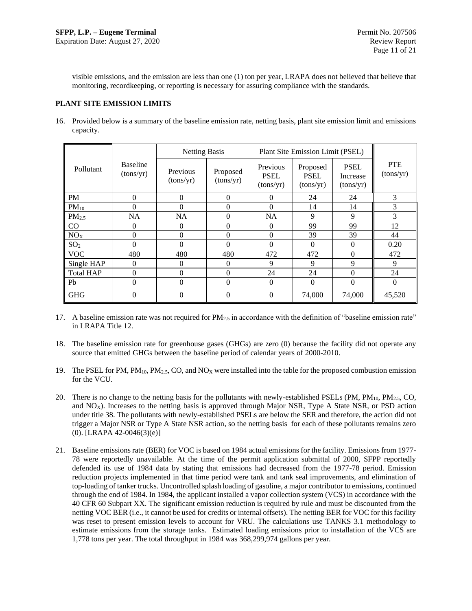visible emissions, and the emission are less than one (1) ton per year, LRAPA does not believed that believe that monitoring, recordkeeping, or reporting is necessary for assuring compliance with the standards.

## **PLANT SITE EMISSION LIMITS**

16. Provided below is a summary of the baseline emission rate, netting basis, plant site emission limit and emissions capacity.

|                   |                              | <b>Netting Basis</b>  |                       | Plant Site Emission Limit (PSEL)     |                                      |                                      |                         |
|-------------------|------------------------------|-----------------------|-----------------------|--------------------------------------|--------------------------------------|--------------------------------------|-------------------------|
| Pollutant         | <b>Baseline</b><br>(tons/yr) | Previous<br>(tons/yr) | Proposed<br>(tons/yr) | Previous<br><b>PSEL</b><br>(tons/yr) | Proposed<br><b>PSEL</b><br>(tons/yr) | <b>PSEL</b><br>Increase<br>(tons/yr) | <b>PTE</b><br>(tons/yr) |
| <b>PM</b>         | $\overline{0}$               | $\overline{0}$        | $\theta$              | 0                                    | 24                                   | 24                                   | 3                       |
| $PM_{10}$         | $\overline{0}$               | $\Omega$              | $\Omega$              | $\Omega$                             | 14                                   | 14                                   | 3                       |
| PM <sub>2.5</sub> | <b>NA</b>                    | <b>NA</b>             | $\Omega$              | <b>NA</b>                            | 9                                    | 9                                    | 3                       |
| CO                | $\Omega$                     | $\theta$              | $\Omega$              | 0                                    | 99                                   | 99                                   | 12                      |
| NO <sub>X</sub>   | $\Omega$                     | $\theta$              | $\Omega$              | 0                                    | 39                                   | 39                                   | 44                      |
| SO <sub>2</sub>   | $\Omega$                     | $\theta$              | $\Omega$              | 0                                    | $\Omega$                             | $\Omega$                             | 0.20                    |
| <b>VOC</b>        | 480                          | 480                   | 480                   | 472                                  | 472                                  | $\Omega$                             | 472                     |
| Single HAP        | $\Omega$                     | $\Omega$              | $\Omega$              | 9                                    | 9                                    | 9                                    | 9                       |
| <b>Total HAP</b>  | $\theta$                     | $\Omega$              | $\Omega$              | 24                                   | 24                                   | $\Omega$                             | 24                      |
| Pb                | $\overline{0}$               | $\overline{0}$        | $\Omega$              | $\mathbf{0}$                         | $\Omega$                             | $\Omega$                             | $\boldsymbol{0}$        |
| <b>GHG</b>        | $\Omega$                     | $\theta$              | $\Omega$              | 0                                    | 74,000                               | 74,000                               | 45,520                  |

17. A baseline emission rate was not required for  $PM_{2.5}$  in accordance with the definition of "baseline emission rate" in LRAPA Title 12.

- 18. The baseline emission rate for greenhouse gases (GHGs) are zero (0) because the facility did not operate any source that emitted GHGs between the baseline period of calendar years of 2000-2010.
- 19. The PSEL for PM,  $PM_{10}$ ,  $PM_{2.5}$ , CO, and NO<sub>X</sub> were installed into the table for the proposed combustion emission for the VCU.
- 20. There is no change to the netting basis for the pollutants with newly-established PSELs (PM,  $PM_{10}$ ,  $PM_{2.5}$ , CO, and  $NO<sub>X</sub>$ ). Increases to the netting basis is approved through Major NSR, Type A State NSR, or PSD action under title 38. The pollutants with newly-established PSELs are below the SER and therefore, the action did not trigger a Major NSR or Type A State NSR action, so the netting basis for each of these pollutants remains zero (0). [LRAPA 42-0046(3)(e)]
- 21. Baseline emissions rate (BER) for VOC is based on 1984 actual emissions for the facility. Emissions from 1977- 78 were reportedly unavailable. At the time of the permit application submittal of 2000, SFPP reportedly defended its use of 1984 data by stating that emissions had decreased from the 1977-78 period. Emission reduction projects implemented in that time period were tank and tank seal improvements, and elimination of top-loading of tanker trucks. Uncontrolled splash loading of gasoline, a major contributor to emissions, continued through the end of 1984. In 1984, the applicant installed a vapor collection system (VCS) in accordance with the 40 CFR 60 Subpart XX. The significant emission reduction is required by rule and must be discounted from the netting VOC BER (i.e., it cannot be used for credits or internal offsets). The netting BER for VOC for this facility was reset to present emission levels to account for VRU. The calculations use TANKS 3.1 methodology to estimate emissions from the storage tanks. Estimated loading emissions prior to installation of the VCS are 1,778 tons per year. The total throughput in 1984 was 368,299,974 gallons per year.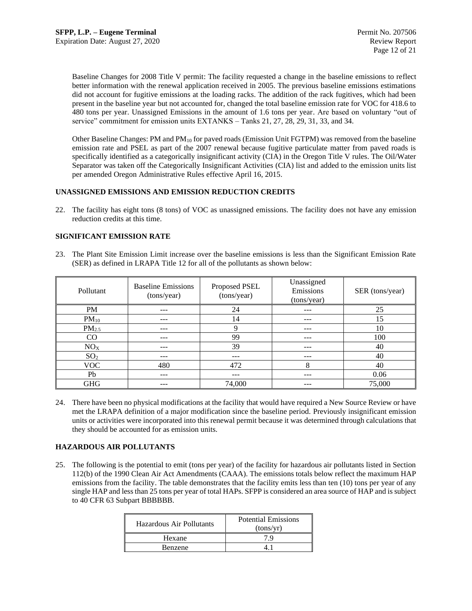Baseline Changes for 2008 Title V permit: The facility requested a change in the baseline emissions to reflect better information with the renewal application received in 2005. The previous baseline emissions estimations did not account for fugitive emissions at the loading racks. The addition of the rack fugitives, which had been present in the baseline year but not accounted for, changed the total baseline emission rate for VOC for 418.6 to 480 tons per year. Unassigned Emissions in the amount of 1.6 tons per year. Are based on voluntary "out of service" commitment for emission units EXTANKS – Tanks 21, 27, 28, 29, 31, 33, and 34.

Other Baseline Changes: PM and PM<sub>10</sub> for paved roads (Emission Unit FGTPM) was removed from the baseline emission rate and PSEL as part of the 2007 renewal because fugitive particulate matter from paved roads is specifically identified as a categorically insignificant activity (CIA) in the Oregon Title V rules. The Oil/Water Separator was taken off the Categorically Insignificant Activities (CIA) list and added to the emission units list per amended Oregon Administrative Rules effective April 16, 2015.

## **UNASSIGNED EMISSIONS AND EMISSION REDUCTION CREDITS**

22. The facility has eight tons (8 tons) of VOC as unassigned emissions. The facility does not have any emission reduction credits at this time.

## **SIGNIFICANT EMISSION RATE**

23. The Plant Site Emission Limit increase over the baseline emissions is less than the Significant Emission Rate (SER) as defined in LRAPA Title 12 for all of the pollutants as shown below:

| Pollutant       | <b>Baseline Emissions</b><br>(tons/year) | Proposed PSEL<br>(tons/year) | Unassigned<br>Emissions<br>(tons/year) | SER (tons/year) |
|-----------------|------------------------------------------|------------------------------|----------------------------------------|-----------------|
| PM              | ---                                      | 24                           | ---                                    | 25              |
| $PM_{10}$       | ---                                      | 14                           | ---                                    | 15              |
| $PM_{2.5}$      |                                          | Q                            | ---                                    | 10              |
| CO              | ---                                      | 99                           | ---                                    | 100             |
| NO <sub>X</sub> | ---                                      | 39                           | $- - -$                                | 40              |
| SO <sub>2</sub> | ---                                      | ---                          | ---                                    | 40              |
| VOC             | 480                                      | 472                          | 8                                      | 40              |
| Pb              | ---                                      | ---                          | ---                                    | 0.06            |
| <b>GHG</b>      | ---                                      | 74,000                       | ---                                    | 75,000          |

24. There have been no physical modifications at the facility that would have required a New Source Review or have met the LRAPA definition of a major modification since the baseline period. Previously insignificant emission units or activities were incorporated into this renewal permit because it was determined through calculations that they should be accounted for as emission units.

## **HAZARDOUS AIR POLLUTANTS**

25. The following is the potential to emit (tons per year) of the facility for hazardous air pollutants listed in Section 112(b) of the 1990 Clean Air Act Amendments (CAAA). The emissions totals below reflect the maximum HAP emissions from the facility. The table demonstrates that the facility emits less than ten (10) tons per year of any single HAP and less than 25 tons per year of total HAPs. SFPP is considered an area source of HAP and is subject to 40 CFR 63 Subpart BBBBBB.

| Hazardous Air Pollutants | <b>Potential Emissions</b><br>(tons/yr) |  |
|--------------------------|-----------------------------------------|--|
| Hexane                   |                                         |  |
| <b>Benzene</b>           |                                         |  |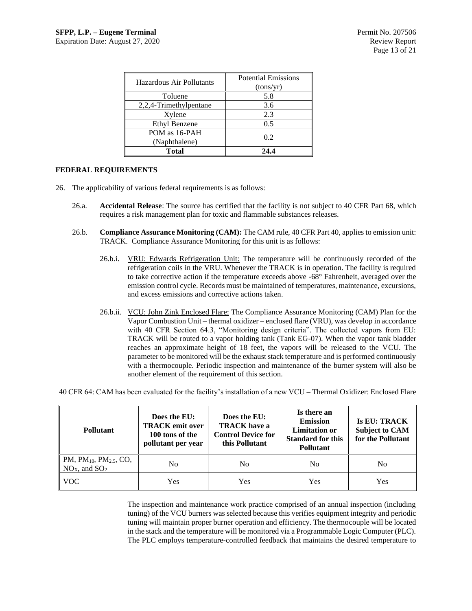| Hazardous Air Pollutants | <b>Potential Emissions</b><br>(tons/yr) |  |
|--------------------------|-----------------------------------------|--|
| Toluene                  | 5.8                                     |  |
| 2,2,4-Trimethylpentane   | 3.6                                     |  |
| Xylene                   | 2.3                                     |  |
| Ethyl Benzene            | 0.5                                     |  |
| POM as 16-PAH            | 0.2                                     |  |
| (Naphthalene)            |                                         |  |
| <b>Total</b>             | 24.4                                    |  |

## **FEDERAL REQUIREMENTS**

- 26. The applicability of various federal requirements is as follows:
	- 26.a. **Accidental Release**: The source has certified that the facility is not subject to 40 CFR Part 68, which requires a risk management plan for toxic and flammable substances releases.
	- 26.b. **Compliance Assurance Monitoring (CAM):** The CAM rule, 40 CFR Part 40, applies to emission unit: TRACK. Compliance Assurance Monitoring for this unit is as follows:
		- 26.b.i. VRU: Edwards Refrigeration Unit: The temperature will be continuously recorded of the refrigeration coils in the VRU. Whenever the TRACK is in operation. The facility is required to take corrective action if the temperature exceeds above -68° Fahrenheit, averaged over the emission control cycle. Records must be maintained of temperatures, maintenance, excursions, and excess emissions and corrective actions taken.
		- 26.b.ii. VCU: John Zink Enclosed Flare: The Compliance Assurance Monitoring (CAM) Plan for the Vapor Combustion Unit – thermal oxidizer – enclosed flare (VRU), was develop in accordance with 40 CFR Section 64.3, "Monitoring design criteria". The collected vapors from EU: TRACK will be routed to a vapor holding tank (Tank EG-07). When the vapor tank bladder reaches an approximate height of 18 feet, the vapors will be released to the VCU. The parameter to be monitored will be the exhaust stack temperature and is performed continuously with a thermocouple. Periodic inspection and maintenance of the burner system will also be another element of the requirement of this section.

40 CFR 64: CAM has been evaluated for the facility's installation of a new VCU – Thermal Oxidizer: Enclosed Flare

| <b>Pollutant</b>                                                                | Does the EU:<br><b>TRACK</b> emit over<br>100 tons of the<br>pollutant per year | Does the EU:<br><b>TRACK</b> have a<br><b>Control Device for</b><br>this Pollutant | Is there an<br><b>Emission</b><br><b>Limitation or</b><br><b>Standard for this</b><br><b>Pollutant</b> | <b>Is EU: TRACK</b><br><b>Subject to CAM</b><br>for the Pollutant |
|---------------------------------------------------------------------------------|---------------------------------------------------------------------------------|------------------------------------------------------------------------------------|--------------------------------------------------------------------------------------------------------|-------------------------------------------------------------------|
| $\mathbb{P}M$ , PM <sub>10</sub> , PM <sub>2.5</sub> , CO,<br>$NOX$ , and $SO2$ | No                                                                              | N <sub>0</sub>                                                                     | No                                                                                                     | No                                                                |
| <b>VOC</b>                                                                      | Yes                                                                             | Yes                                                                                | Yes                                                                                                    | Yes                                                               |

The inspection and maintenance work practice comprised of an annual inspection (including tuning) of the VCU burners was selected because this verifies equipment integrity and periodic tuning will maintain proper burner operation and efficiency. The thermocouple will be located in the stack and the temperature will be monitored via a Programmable Logic Computer (PLC). The PLC employs temperature-controlled feedback that maintains the desired temperature to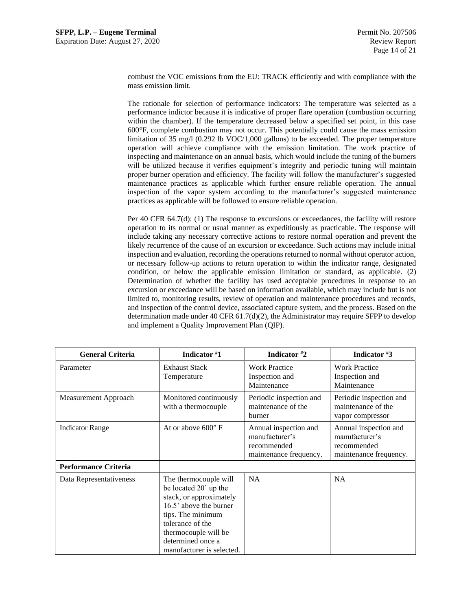combust the VOC emissions from the EU: TRACK efficiently and with compliance with the mass emission limit.

The rationale for selection of performance indicators: The temperature was selected as a performance indictor because it is indicative of proper flare operation (combustion occurring within the chamber). If the temperature decreased below a specified set point, in this case 600°F, complete combustion may not occur. This potentially could cause the mass emission limitation of 35 mg/l (0.292 lb VOC/1,000 gallons) to be exceeded. The proper temperature operation will achieve compliance with the emission limitation. The work practice of inspecting and maintenance on an annual basis, which would include the tuning of the burners will be utilized because it verifies equipment's integrity and periodic tuning will maintain proper burner operation and efficiency. The facility will follow the manufacturer's suggested maintenance practices as applicable which further ensure reliable operation. The annual inspection of the vapor system according to the manufacturer's suggested maintenance practices as applicable will be followed to ensure reliable operation.

Per 40 CFR 64.7(d): (1) The response to excursions or exceedances, the facility will restore operation to its normal or usual manner as expeditiously as practicable. The response will include taking any necessary corrective actions to restore normal operation and prevent the likely recurrence of the cause of an excursion or exceedance. Such actions may include initial inspection and evaluation, recording the operations returned to normal without operator action, or necessary follow-up actions to return operation to within the indicator range, designated condition, or below the applicable emission limitation or standard, as applicable. (2) Determination of whether the facility has used acceptable procedures in response to an excursion or exceedance will be based on information available, which may include but is not limited to, monitoring results, review of operation and maintenance procedures and records, and inspection of the control device, associated capture system, and the process. Based on the determination made under 40 CFR  $61.7(d)(2)$ , the Administrator may require SFPP to develop and implement a Quality Improvement Plan (QIP).

| <b>General Criteria</b>     | Indicator #1                                                                                                                                                                                                           | Indicator #2                                                                     | Indicator #3                                                                     |  |  |  |
|-----------------------------|------------------------------------------------------------------------------------------------------------------------------------------------------------------------------------------------------------------------|----------------------------------------------------------------------------------|----------------------------------------------------------------------------------|--|--|--|
| Parameter                   | <b>Exhaust Stack</b><br>Temperature                                                                                                                                                                                    | Work Practice $-$<br>Inspection and<br>Maintenance                               | Work Practice –<br>Inspection and<br>Maintenance                                 |  |  |  |
| Measurement Approach        | Monitored continuously<br>with a thermocouple                                                                                                                                                                          | Periodic inspection and<br>maintenance of the<br>burner                          | Periodic inspection and<br>maintenance of the<br>vapor compressor                |  |  |  |
| <b>Indicator Range</b>      | At or above $600^{\circ}$ F                                                                                                                                                                                            | Annual inspection and<br>manufacturer's<br>recommended<br>maintenance frequency. | Annual inspection and<br>manufacturer's<br>recommended<br>maintenance frequency. |  |  |  |
| <b>Performance Criteria</b> |                                                                                                                                                                                                                        |                                                                                  |                                                                                  |  |  |  |
| Data Representativeness     | The thermocouple will<br>be located 20' up the<br>stack, or approximately<br>16.5' above the burner<br>tips. The minimum<br>tolerance of the<br>thermocouple will be<br>determined once a<br>manufacturer is selected. | <b>NA</b>                                                                        | <b>NA</b>                                                                        |  |  |  |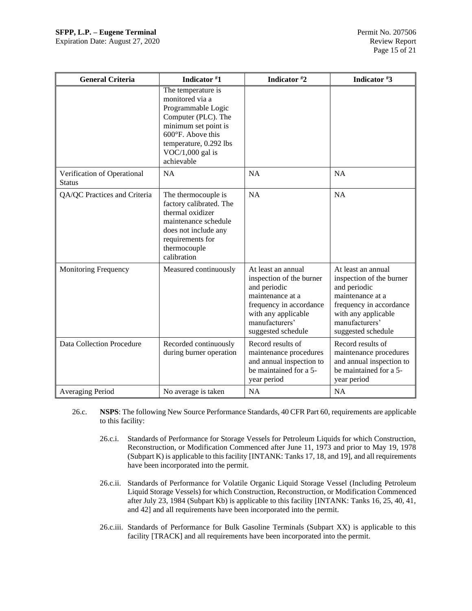| <b>General Criteria</b>                      | Indicator #1                                                                                                                                                                                  | Indicator #2                                                                                                                                                                 | Indicator #3                                                                                                                                                                 |
|----------------------------------------------|-----------------------------------------------------------------------------------------------------------------------------------------------------------------------------------------------|------------------------------------------------------------------------------------------------------------------------------------------------------------------------------|------------------------------------------------------------------------------------------------------------------------------------------------------------------------------|
|                                              | The temperature is<br>monitored via a<br>Programmable Logic<br>Computer (PLC). The<br>minimum set point is<br>600°F. Above this<br>temperature, 0.292 lbs<br>$VOC/1,000$ gal is<br>achievable |                                                                                                                                                                              |                                                                                                                                                                              |
| Verification of Operational<br><b>Status</b> | <b>NA</b>                                                                                                                                                                                     | <b>NA</b>                                                                                                                                                                    | <b>NA</b>                                                                                                                                                                    |
| QA/QC Practices and Criteria                 | The thermocouple is<br>factory calibrated. The<br>thermal oxidizer<br>maintenance schedule<br>does not include any<br>requirements for<br>thermocouple<br>calibration                         | NA                                                                                                                                                                           | <b>NA</b>                                                                                                                                                                    |
| <b>Monitoring Frequency</b>                  | Measured continuously                                                                                                                                                                         | At least an annual<br>inspection of the burner<br>and periodic<br>maintenance at a<br>frequency in accordance<br>with any applicable<br>manufacturers'<br>suggested schedule | At least an annual<br>inspection of the burner<br>and periodic<br>maintenance at a<br>frequency in accordance<br>with any applicable<br>manufacturers'<br>suggested schedule |
| Data Collection Procedure                    | Recorded continuously<br>during burner operation                                                                                                                                              | Record results of<br>maintenance procedures<br>and annual inspection to<br>be maintained for a 5-<br>year period                                                             | Record results of<br>maintenance procedures<br>and annual inspection to<br>be maintained for a 5-<br>year period                                                             |
| Averaging Period                             | No average is taken                                                                                                                                                                           | <b>NA</b>                                                                                                                                                                    | <b>NA</b>                                                                                                                                                                    |

- 26.c. **NSPS**: The following New Source Performance Standards, 40 CFR Part 60, requirements are applicable to this facility:
	- 26.c.i. Standards of Performance for Storage Vessels for Petroleum Liquids for which Construction, Reconstruction, or Modification Commenced after June 11, 1973 and prior to May 19, 1978 (Subpart K) is applicable to this facility [INTANK: Tanks 17, 18, and 19], and all requirements have been incorporated into the permit.
	- 26.c.ii. Standards of Performance for Volatile Organic Liquid Storage Vessel (Including Petroleum Liquid Storage Vessels) for which Construction, Reconstruction, or Modification Commenced after July 23, 1984 (Subpart Kb) is applicable to this facility [INTANK: Tanks 16, 25, 40, 41, and 42] and all requirements have been incorporated into the permit.
	- 26.c.iii. Standards of Performance for Bulk Gasoline Terminals (Subpart XX) is applicable to this facility [TRACK] and all requirements have been incorporated into the permit.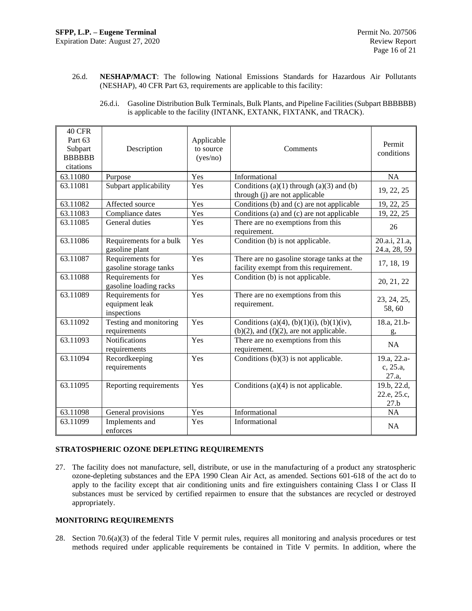26.d. **NESHAP/MACT**: The following National Emissions Standards for Hazardous Air Pollutants (NESHAP), 40 CFR Part 63, requirements are applicable to this facility:

| 26.d.i. | Gasoline Distribution Bulk Terminals, Bulk Plants, and Pipeline Facilities (Subpart BBBBBB) |
|---------|---------------------------------------------------------------------------------------------|
|         | is applicable to the facility (INTANK, EXTANK, FIXTANK, and TRACK).                         |

| 40 CFR<br>Part 63<br>Subpart<br><b>BBBBBB</b><br>citations | Description                                       | Applicable<br>to source<br>(yes/no) | Comments                                                                                   | Permit<br>conditions               |
|------------------------------------------------------------|---------------------------------------------------|-------------------------------------|--------------------------------------------------------------------------------------------|------------------------------------|
| 63.11080                                                   | Purpose                                           | Yes                                 | Informational                                                                              | <b>NA</b>                          |
| 63.11081                                                   | Subpart applicability                             | Yes                                 | Conditions $(a)(1)$ through $(a)(3)$ and $(b)$<br>through (j) are not applicable           | 19, 22, 25                         |
| 63.11082                                                   | Affected source                                   | Yes                                 | Conditions (b) and (c) are not applicable                                                  | 19, 22, 25                         |
| 63.11083                                                   | Compliance dates                                  | Yes                                 | Conditions (a) and (c) are not applicable                                                  | 19, 22, 25                         |
| 63.11085                                                   | General duties                                    | Yes                                 | There are no exemptions from this<br>requirement.                                          | 26                                 |
| 63.11086                                                   | Requirements for a bulk<br>gasoline plant         | Yes                                 | Condition (b) is not applicable.                                                           | 20.a.i, 21.a,<br>24.a, 28, 59      |
| 63.11087                                                   | Requirements for<br>gasoline storage tanks        | Yes                                 | There are no gasoline storage tanks at the<br>facility exempt from this requirement.       | 17, 18, 19                         |
| 63.11088                                                   | Requirements for<br>gasoline loading racks        | Yes                                 | Condition (b) is not applicable.                                                           | 20, 21, 22                         |
| 63.11089                                                   | Requirements for<br>equipment leak<br>inspections | Yes                                 | There are no exemptions from this<br>requirement.                                          | 23, 24, 25,<br>58,60               |
| 63.11092                                                   | Testing and monitoring<br>requirements            | Yes                                 | Conditions (a)(4), (b)(1)(i), (b)(1)(iv),<br>$(b)(2)$ , and $(f)(2)$ , are not applicable. | 18.a, 21.b-<br>g,                  |
| 63.11093                                                   | <b>Notifications</b><br>requirements              | Yes                                 | There are no exemptions from this<br>requirement.                                          | NA                                 |
| 63.11094                                                   | Recordkeeping<br>requirements                     | Yes                                 | Conditions $(b)(3)$ is not applicable.                                                     | 19.a, 22.a-<br>c, 25.a,<br>27.a,   |
| 63.11095                                                   | Reporting requirements                            | Yes                                 | Conditions $(a)(4)$ is not applicable.                                                     | 19.b, 22.d,<br>22.e, 25.c,<br>27.b |
| 63.11098                                                   | General provisions                                | Yes                                 | Informational                                                                              | <b>NA</b>                          |
| 63.11099                                                   | Implements and<br>enforces                        | Yes                                 | Informational                                                                              | <b>NA</b>                          |

## **STRATOSPHERIC OZONE DEPLETING REQUIREMENTS**

27. The facility does not manufacture, sell, distribute, or use in the manufacturing of a product any stratospheric ozone-depleting substances and the EPA 1990 Clean Air Act, as amended. Sections 601-618 of the act do to apply to the facility except that air conditioning units and fire extinguishers containing Class I or Class II substances must be serviced by certified repairmen to ensure that the substances are recycled or destroyed appropriately.

## **MONITORING REQUIREMENTS**

28. Section 70.6(a)(3) of the federal Title V permit rules, requires all monitoring and analysis procedures or test methods required under applicable requirements be contained in Title V permits. In addition, where the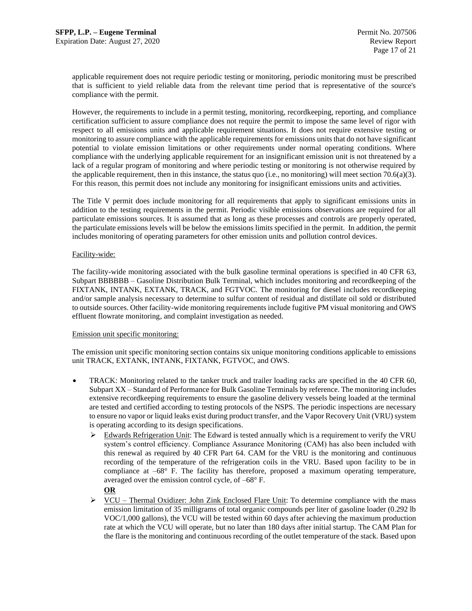applicable requirement does not require periodic testing or monitoring, periodic monitoring must be prescribed that is sufficient to yield reliable data from the relevant time period that is representative of the source's compliance with the permit.

However, the requirements to include in a permit testing, monitoring, recordkeeping, reporting, and compliance certification sufficient to assure compliance does not require the permit to impose the same level of rigor with respect to all emissions units and applicable requirement situations. It does not require extensive testing or monitoring to assure compliance with the applicable requirements for emissions units that do not have significant potential to violate emission limitations or other requirements under normal operating conditions. Where compliance with the underlying applicable requirement for an insignificant emission unit is not threatened by a lack of a regular program of monitoring and where periodic testing or monitoring is not otherwise required by the applicable requirement, then in this instance, the status quo (i.e., no monitoring) will meet section 70.6(a)(3). For this reason, this permit does not include any monitoring for insignificant emissions units and activities.

The Title V permit does include monitoring for all requirements that apply to significant emissions units in addition to the testing requirements in the permit. Periodic visible emissions observations are required for all particulate emissions sources. It is assumed that as long as these processes and controls are properly operated, the particulate emissions levels will be below the emissions limits specified in the permit. In addition, the permit includes monitoring of operating parameters for other emission units and pollution control devices.

## Facility-wide:

The facility-wide monitoring associated with the bulk gasoline terminal operations is specified in 40 CFR 63, Subpart BBBBBB – Gasoline Distribution Bulk Terminal, which includes monitoring and recordkeeping of the FIXTANK, INTANK, EXTANK, TRACK, and FGTVOC. The monitoring for diesel includes recordkeeping and/or sample analysis necessary to determine to sulfur content of residual and distillate oil sold or distributed to outside sources. Other facility-wide monitoring requirements include fugitive PM visual monitoring and OWS effluent flowrate monitoring, and complaint investigation as needed.

#### Emission unit specific monitoring:

The emission unit specific monitoring section contains six unique monitoring conditions applicable to emissions unit TRACK, EXTANK, INTANK, FIXTANK, FGTVOC, and OWS.

- TRACK: Monitoring related to the tanker truck and trailer loading racks are specified in the 40 CFR 60, Subpart XX – Standard of Performance for Bulk Gasoline Terminals by reference. The monitoring includes extensive recordkeeping requirements to ensure the gasoline delivery vessels being loaded at the terminal are tested and certified according to testing protocols of the NSPS. The periodic inspections are necessary to ensure no vapor or liquid leaks exist during product transfer, and the Vapor Recovery Unit (VRU) system is operating according to its design specifications.
	- ➢ Edwards Refrigeration Unit: The Edward is tested annually which is a requirement to verify the VRU system's control efficiency. Compliance Assurance Monitoring (CAM) has also been included with this renewal as required by 40 CFR Part 64. CAM for the VRU is the monitoring and continuous recording of the temperature of the refrigeration coils in the VRU. Based upon facility to be in compliance at –68° F. The facility has therefore, proposed a maximum operating temperature, averaged over the emission control cycle, of –68° F.
		- **OR**
	- ➢ VCU Thermal Oxidizer: John Zink Enclosed Flare Unit: To determine compliance with the mass emission limitation of 35 milligrams of total organic compounds per liter of gasoline loader (0.292 lb VOC/1,000 gallons), the VCU will be tested within 60 days after achieving the maximum production rate at which the VCU will operate, but no later than 180 days after initial startup. The CAM Plan for the flare is the monitoring and continuous recording of the outlet temperature of the stack. Based upon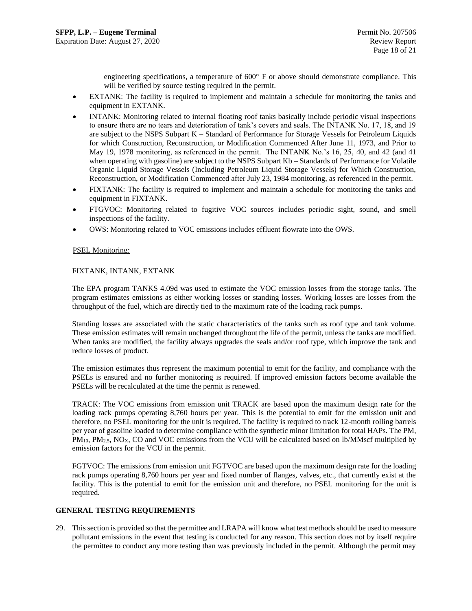engineering specifications, a temperature of 600° F or above should demonstrate compliance. This will be verified by source testing required in the permit.

- EXTANK: The facility is required to implement and maintain a schedule for monitoring the tanks and equipment in EXTANK.
- INTANK: Monitoring related to internal floating roof tanks basically include periodic visual inspections to ensure there are no tears and deterioration of tank's covers and seals. The INTANK No. 17, 18, and 19 are subject to the NSPS Subpart K – Standard of Performance for Storage Vessels for Petroleum Liquids for which Construction, Reconstruction, or Modification Commenced After June 11, 1973, and Prior to May 19, 1978 monitoring, as referenced in the permit. The INTANK No.'s 16, 25, 40, and 42 (and 41 when operating with gasoline) are subject to the NSPS Subpart Kb – Standards of Performance for Volatile Organic Liquid Storage Vessels (Including Petroleum Liquid Storage Vessels) for Which Construction, Reconstruction, or Modification Commenced after July 23, 1984 monitoring, as referenced in the permit.
- FIXTANK: The facility is required to implement and maintain a schedule for monitoring the tanks and equipment in FIXTANK.
- FTGVOC: Monitoring related to fugitive VOC sources includes periodic sight, sound, and smell inspections of the facility.
- OWS: Monitoring related to VOC emissions includes effluent flowrate into the OWS.

#### PSEL Monitoring:

## FIXTANK, INTANK, EXTANK

The EPA program TANKS 4.09d was used to estimate the VOC emission losses from the storage tanks. The program estimates emissions as either working losses or standing losses. Working losses are losses from the throughput of the fuel, which are directly tied to the maximum rate of the loading rack pumps.

Standing losses are associated with the static characteristics of the tanks such as roof type and tank volume. These emission estimates will remain unchanged throughout the life of the permit, unless the tanks are modified. When tanks are modified, the facility always upgrades the seals and/or roof type, which improve the tank and reduce losses of product.

The emission estimates thus represent the maximum potential to emit for the facility, and compliance with the PSELs is ensured and no further monitoring is required. If improved emission factors become available the PSELs will be recalculated at the time the permit is renewed.

TRACK: The VOC emissions from emission unit TRACK are based upon the maximum design rate for the loading rack pumps operating 8,760 hours per year. This is the potential to emit for the emission unit and therefore, no PSEL monitoring for the unit is required. The facility is required to track 12-month rolling barrels per year of gasoline loaded to determine compliance with the synthetic minor limitation for total HAPs. The PM,  $PM_{10}$ ,  $PM_{2.5}$ , NO<sub>X</sub>, CO and VOC emissions from the VCU will be calculated based on lb/MMscf multiplied by emission factors for the VCU in the permit.

FGTVOC: The emissions from emission unit FGTVOC are based upon the maximum design rate for the loading rack pumps operating 8,760 hours per year and fixed number of flanges, valves, etc., that currently exist at the facility. This is the potential to emit for the emission unit and therefore, no PSEL monitoring for the unit is required.

#### **GENERAL TESTING REQUIREMENTS**

29. This section is provided so that the permittee and LRAPA will know what test methods should be used to measure pollutant emissions in the event that testing is conducted for any reason. This section does not by itself require the permittee to conduct any more testing than was previously included in the permit. Although the permit may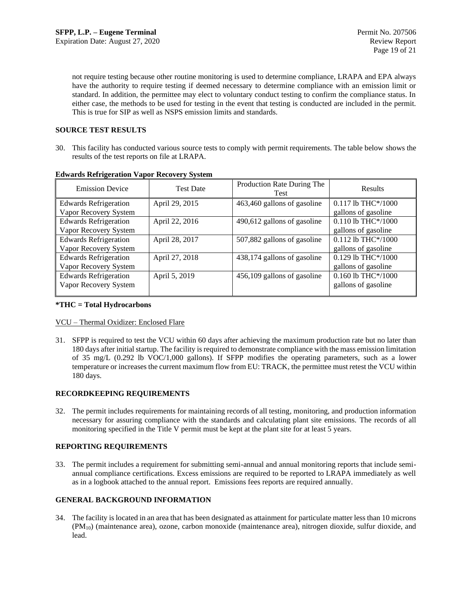not require testing because other routine monitoring is used to determine compliance, LRAPA and EPA always have the authority to require testing if deemed necessary to determine compliance with an emission limit or standard. In addition, the permittee may elect to voluntary conduct testing to confirm the compliance status. In either case, the methods to be used for testing in the event that testing is conducted are included in the permit. This is true for SIP as well as NSPS emission limits and standards.

## **SOURCE TEST RESULTS**

30. This facility has conducted various source tests to comply with permit requirements. The table below shows the results of the test reports on file at LRAPA.

| <b>Emission Device</b>       | <b>Test Date</b>                              |                             | Results              |  |  |  |
|------------------------------|-----------------------------------------------|-----------------------------|----------------------|--|--|--|
| <b>Edwards Refrigeration</b> | 463,460 gallons of gasoline<br>April 29, 2015 |                             | $0.117$ lb THC*/1000 |  |  |  |
| Vapor Recovery System        |                                               |                             | gallons of gasoline  |  |  |  |
| <b>Edwards Refrigeration</b> | April 22, 2016                                | 490,612 gallons of gasoline | 0.110 lb THC*/1000   |  |  |  |
| Vapor Recovery System        |                                               |                             | gallons of gasoline  |  |  |  |
| <b>Edwards Refrigeration</b> | April 28, 2017                                | 507,882 gallons of gasoline | $0.112$ lb THC*/1000 |  |  |  |
| Vapor Recovery System        |                                               |                             | gallons of gasoline  |  |  |  |
| <b>Edwards Refrigeration</b> | April 27, 2018                                | 438,174 gallons of gasoline | 0.129 lb THC*/1000   |  |  |  |
| Vapor Recovery System        |                                               |                             | gallons of gasoline  |  |  |  |
| <b>Edwards Refrigeration</b> | April 5, 2019                                 | 456,109 gallons of gasoline | 0.160 lb THC*/1000   |  |  |  |
| Vapor Recovery System        |                                               |                             | gallons of gasoline  |  |  |  |
|                              |                                               |                             |                      |  |  |  |

## **Edwards Refrigeration Vapor Recovery System**

## **\*THC = Total Hydrocarbons**

## VCU – Thermal Oxidizer: Enclosed Flare

31. SFPP is required to test the VCU within 60 days after achieving the maximum production rate but no later than 180 days after initial startup. The facility is required to demonstrate compliance with the mass emission limitation of 35 mg/L (0.292 lb VOC/1,000 gallons). If SFPP modifies the operating parameters, such as a lower temperature or increases the current maximum flow from EU: TRACK, the permittee must retest the VCU within 180 days.

## **RECORDKEEPING REQUIREMENTS**

32. The permit includes requirements for maintaining records of all testing, monitoring, and production information necessary for assuring compliance with the standards and calculating plant site emissions. The records of all monitoring specified in the Title V permit must be kept at the plant site for at least 5 years.

## **REPORTING REQUIREMENTS**

33. The permit includes a requirement for submitting semi-annual and annual monitoring reports that include semiannual compliance certifications. Excess emissions are required to be reported to LRAPA immediately as well as in a logbook attached to the annual report. Emissions fees reports are required annually.

## **GENERAL BACKGROUND INFORMATION**

34. The facility is located in an area that has been designated as attainment for particulate matter less than 10 microns (PM10) (maintenance area), ozone, carbon monoxide (maintenance area), nitrogen dioxide, sulfur dioxide, and lead.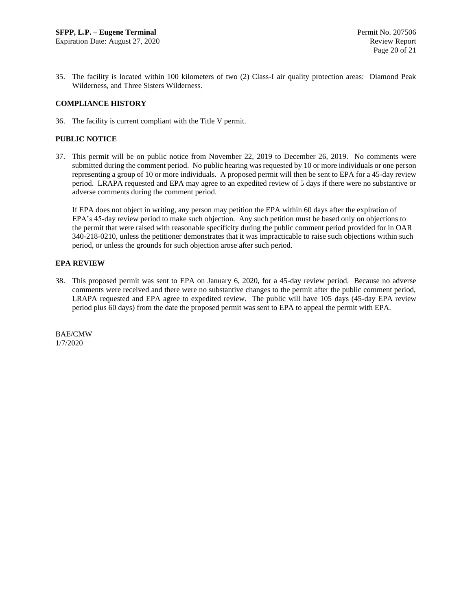35. The facility is located within 100 kilometers of two (2) Class-I air quality protection areas: Diamond Peak Wilderness, and Three Sisters Wilderness.

## **COMPLIANCE HISTORY**

36. The facility is current compliant with the Title V permit.

## **PUBLIC NOTICE**

37. This permit will be on public notice from November 22, 2019 to December 26, 2019. No comments were submitted during the comment period. No public hearing was requested by 10 or more individuals or one person representing a group of 10 or more individuals. A proposed permit will then be sent to EPA for a 45-day review period. LRAPA requested and EPA may agree to an expedited review of 5 days if there were no substantive or adverse comments during the comment period.

If EPA does not object in writing, any person may petition the EPA within 60 days after the expiration of EPA's 45-day review period to make such objection. Any such petition must be based only on objections to the permit that were raised with reasonable specificity during the public comment period provided for in OAR 340-218-0210, unless the petitioner demonstrates that it was impracticable to raise such objections within such period, or unless the grounds for such objection arose after such period.

## **EPA REVIEW**

38. This proposed permit was sent to EPA on January 6, 2020, for a 45-day review period. Because no adverse comments were received and there were no substantive changes to the permit after the public comment period, LRAPA requested and EPA agree to expedited review. The public will have 105 days (45-day EPA review period plus 60 days) from the date the proposed permit was sent to EPA to appeal the permit with EPA.

BAE/CMW 1/7/2020